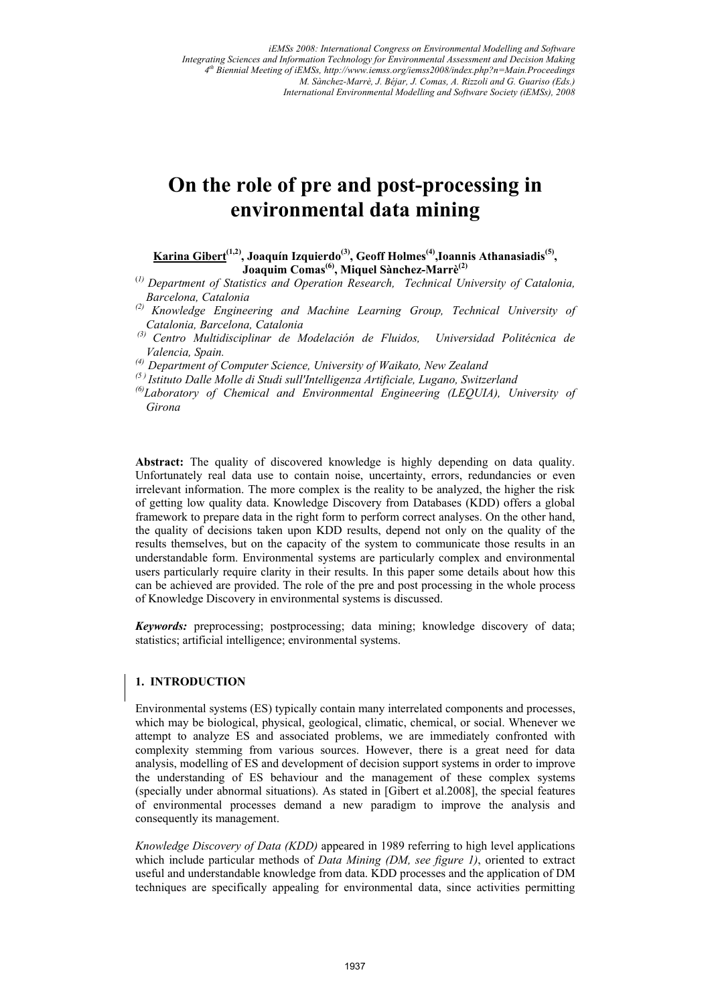# **On the role of pre and post-processing in environmental data mining**

Karina Gibert<sup>(1,2)</sup>, Joaquín Izquierdo<sup>(3)</sup>, Geoff Holmes<sup>(4)</sup>, Ioannis Athanasiadis<sup>(5)</sup>, **Joaquim Comas(6), Miquel Sànchez-Marrè(2)**

(*1) Department of Statistics and Operation Research, Technical University of Catalonia, Barcelona, Catalonia* 

- *(2) Knowledge Engineering and Machine Learning Group, Technical University of Catalonia, Barcelona, Catalonia*
- *(3) Centro Multidisciplinar de Modelación de Fluidos, Universidad Politécnica de Valencia, Spain.*

*(4) Department of Computer Science, University of Waikato, New Zealand* 

*(5 ) Istituto Dalle Molle di Studi sull'Intelligenza Artificiale, Lugano, Switzerland* 

*(6)Laboratory of Chemical and Environmental Engineering (LEQUIA), University of Girona* 

**Abstract:** The quality of discovered knowledge is highly depending on data quality. Unfortunately real data use to contain noise, uncertainty, errors, redundancies or even irrelevant information. The more complex is the reality to be analyzed, the higher the risk of getting low quality data. Knowledge Discovery from Databases (KDD) offers a global framework to prepare data in the right form to perform correct analyses. On the other hand, the quality of decisions taken upon KDD results, depend not only on the quality of the results themselves, but on the capacity of the system to communicate those results in an understandable form. Environmental systems are particularly complex and environmental users particularly require clarity in their results. In this paper some details about how this can be achieved are provided. The role of the pre and post processing in the whole process of Knowledge Discovery in environmental systems is discussed.

*Keywords:* preprocessing; postprocessing; data mining; knowledge discovery of data; statistics; artificial intelligence; environmental systems.

# **1. INTRODUCTION**

Environmental systems (ES) typically contain many interrelated components and processes, which may be biological, physical, geological, climatic, chemical, or social. Whenever we attempt to analyze ES and associated problems, we are immediately confronted with complexity stemming from various sources. However, there is a great need for data analysis, modelling of ES and development of decision support systems in order to improve the understanding of ES behaviour and the management of these complex systems (specially under abnormal situations). As stated in [Gibert et al.2008], the special features of environmental processes demand a new paradigm to improve the analysis and consequently its management.

*Knowledge Discovery of Data (KDD)* appeared in 1989 referring to high level applications which include particular methods of *Data Mining (DM, see figure 1)*, oriented to extract useful and understandable knowledge from data. KDD processes and the application of DM techniques are specifically appealing for environmental data, since activities permitting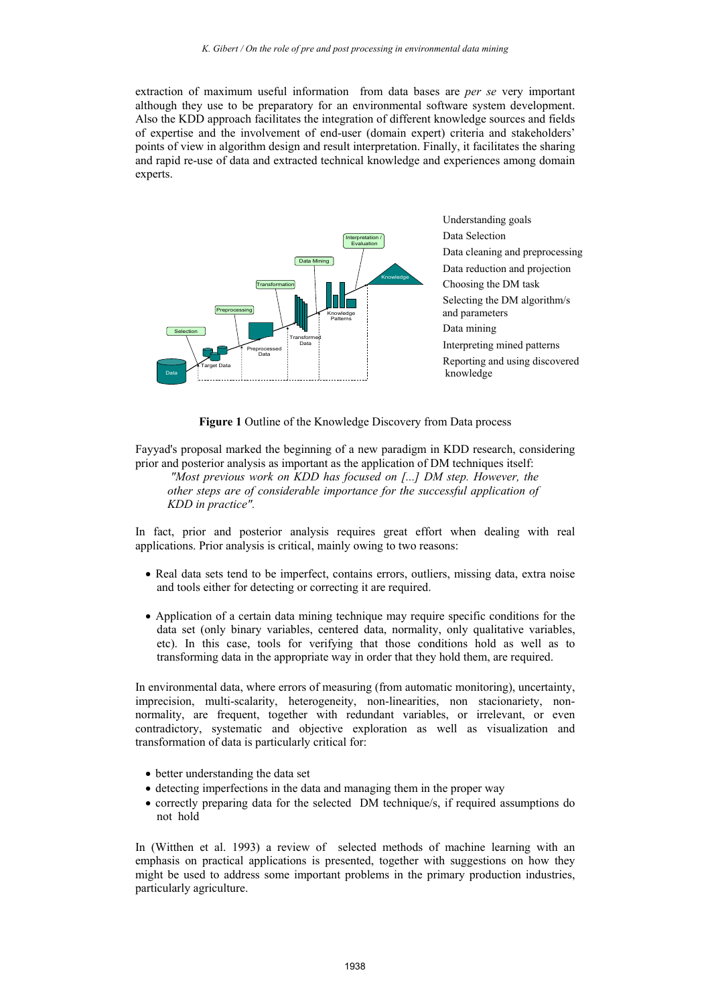extraction of maximum useful information from data bases are *per se* very important although they use to be preparatory for an environmental software system development. Also the KDD approach facilitates the integration of different knowledge sources and fields of expertise and the involvement of end-user (domain expert) criteria and stakeholders' points of view in algorithm design and result interpretation. Finally, it facilitates the sharing and rapid re-use of data and extracted technical knowledge and experiences among domain experts.



 Understanding goals Data Selection Data cleaning and preprocessing Data reduction and projection Choosing the DM task Selecting the DM algorithm/s and parameters Data mining Interpreting mined patterns Reporting and using discovered knowledge

**Figure 1** Outline of the Knowledge Discovery from Data process

Fayyad's proposal marked the beginning of a new paradigm in KDD research, considering prior and posterior analysis as important as the application of DM techniques itself: *"Most previous work on KDD has focused on [...] DM step. However, the other steps are of considerable importance for the successful application of* 

*KDD in practice".* 

In fact, prior and posterior analysis requires great effort when dealing with real applications. Prior analysis is critical, mainly owing to two reasons:

- Real data sets tend to be imperfect, contains errors, outliers, missing data, extra noise and tools either for detecting or correcting it are required.
- Application of a certain data mining technique may require specific conditions for the data set (only binary variables, centered data, normality, only qualitative variables, etc). In this case, tools for verifying that those conditions hold as well as to transforming data in the appropriate way in order that they hold them, are required.

In environmental data, where errors of measuring (from automatic monitoring), uncertainty, imprecision, multi-scalarity, heterogeneity, non-linearities, non stacionariety, nonnormality, are frequent, together with redundant variables, or irrelevant, or even contradictory, systematic and objective exploration as well as visualization and transformation of data is particularly critical for:

- better understanding the data set
- detecting imperfections in the data and managing them in the proper way
- correctly preparing data for the selected DM technique/s, if required assumptions do not hold

In (Witthen et al. 1993) a review of selected methods of machine learning with an emphasis on practical applications is presented, together with suggestions on how they might be used to address some important problems in the primary production industries, particularly agriculture.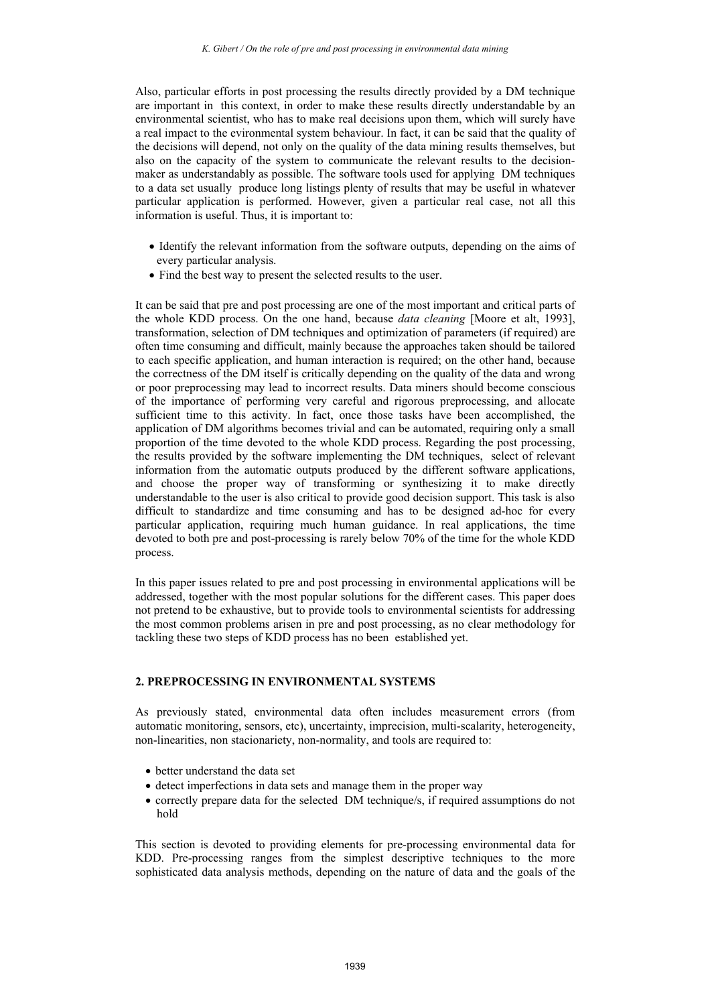Also, particular efforts in post processing the results directly provided by a DM technique are important in this context, in order to make these results directly understandable by an environmental scientist, who has to make real decisions upon them, which will surely have a real impact to the evironmental system behaviour. In fact, it can be said that the quality of the decisions will depend, not only on the quality of the data mining results themselves, but also on the capacity of the system to communicate the relevant results to the decisionmaker as understandably as possible. The software tools used for applying DM techniques to a data set usually produce long listings plenty of results that may be useful in whatever particular application is performed. However, given a particular real case, not all this information is useful. Thus, it is important to:

- Identify the relevant information from the software outputs, depending on the aims of every particular analysis.
- Find the best way to present the selected results to the user.

It can be said that pre and post processing are one of the most important and critical parts of the whole KDD process. On the one hand, because *data cleaning* [Moore et alt, 1993], transformation, selection of DM techniques and optimization of parameters (if required) are often time consuming and difficult, mainly because the approaches taken should be tailored to each specific application, and human interaction is required; on the other hand, because the correctness of the DM itself is critically depending on the quality of the data and wrong or poor preprocessing may lead to incorrect results. Data miners should become conscious of the importance of performing very careful and rigorous preprocessing, and allocate sufficient time to this activity. In fact, once those tasks have been accomplished, the application of DM algorithms becomes trivial and can be automated, requiring only a small proportion of the time devoted to the whole KDD process. Regarding the post processing, the results provided by the software implementing the DM techniques, select of relevant information from the automatic outputs produced by the different software applications, and choose the proper way of transforming or synthesizing it to make directly understandable to the user is also critical to provide good decision support. This task is also difficult to standardize and time consuming and has to be designed ad-hoc for every particular application, requiring much human guidance. In real applications, the time devoted to both pre and post-processing is rarely below 70% of the time for the whole KDD process.

In this paper issues related to pre and post processing in environmental applications will be addressed, together with the most popular solutions for the different cases. This paper does not pretend to be exhaustive, but to provide tools to environmental scientists for addressing the most common problems arisen in pre and post processing, as no clear methodology for tackling these two steps of KDD process has no been established yet.

#### **2. PREPROCESSING IN ENVIRONMENTAL SYSTEMS**

As previously stated, environmental data often includes measurement errors (from automatic monitoring, sensors, etc), uncertainty, imprecision, multi-scalarity, heterogeneity, non-linearities, non stacionariety, non-normality, and tools are required to:

- better understand the data set
- detect imperfections in data sets and manage them in the proper way
- correctly prepare data for the selected DM technique/s, if required assumptions do not hold

This section is devoted to providing elements for pre-processing environmental data for KDD. Pre-processing ranges from the simplest descriptive techniques to the more sophisticated data analysis methods, depending on the nature of data and the goals of the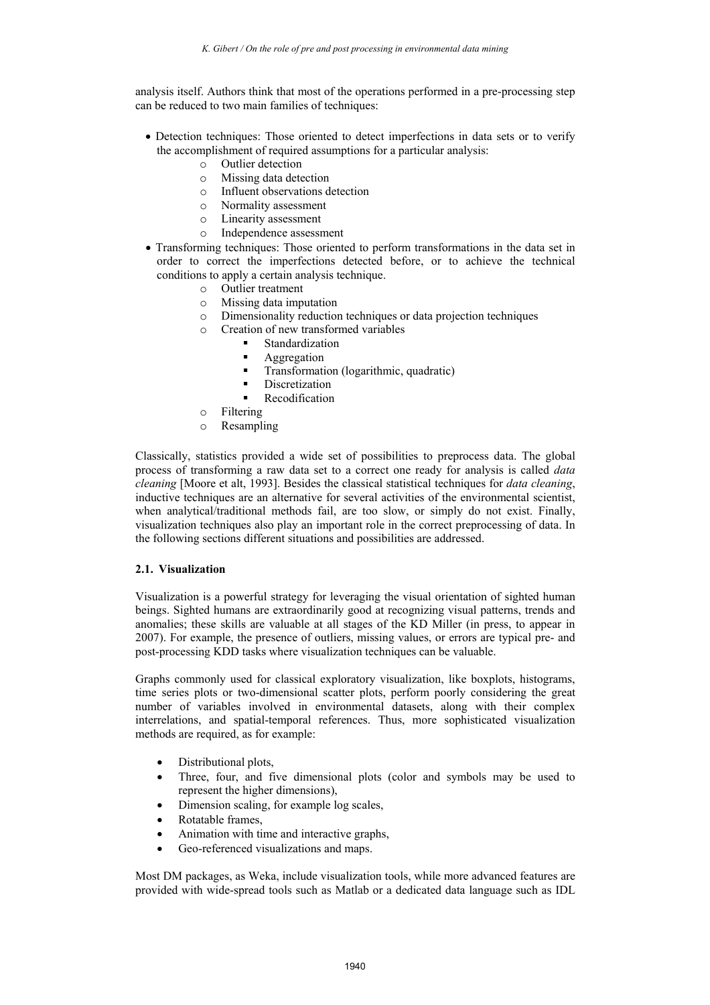analysis itself. Authors think that most of the operations performed in a pre-processing step can be reduced to two main families of techniques:

- Detection techniques: Those oriented to detect imperfections in data sets or to verify the accomplishment of required assumptions for a particular analysis:
	- o Outlier detection
	- o Missing data detection
	- o Influent observations detection
	- o Normality assessment
	- o Linearity assessment
	- o Independence assessment
- Transforming techniques: Those oriented to perform transformations in the data set in order to correct the imperfections detected before, or to achieve the technical conditions to apply a certain analysis technique.
	- o Outlier treatment
	- o Missing data imputation
	- o Dimensionality reduction techniques or data projection techniques
	- o Creation of new transformed variables
		- Standardization
			- Aggregation
		- **Transformation (logarithmic, quadratic)**
		- Discretization
		- Recodification
	- o Filtering
	- o Resampling

Classically, statistics provided a wide set of possibilities to preprocess data. The global process of transforming a raw data set to a correct one ready for analysis is called *data cleaning* [Moore et alt, 1993]. Besides the classical statistical techniques for *data cleaning*, inductive techniques are an alternative for several activities of the environmental scientist, when analytical/traditional methods fail, are too slow, or simply do not exist. Finally, visualization techniques also play an important role in the correct preprocessing of data. In the following sections different situations and possibilities are addressed.

# **2.1. Visualization**

Visualization is a powerful strategy for leveraging the visual orientation of sighted human beings. Sighted humans are extraordinarily good at recognizing visual patterns, trends and anomalies; these skills are valuable at all stages of the KD Miller (in press, to appear in 2007). For example, the presence of outliers, missing values, or errors are typical pre- and post-processing KDD tasks where visualization techniques can be valuable.

Graphs commonly used for classical exploratory visualization, like boxplots, histograms, time series plots or two-dimensional scatter plots, perform poorly considering the great number of variables involved in environmental datasets, along with their complex interrelations, and spatial-temporal references. Thus, more sophisticated visualization methods are required, as for example:

- Distributional plots,
- Three, four, and five dimensional plots (color and symbols may be used to represent the higher dimensions),
- Dimension scaling, for example log scales,
- Rotatable frames,
- Animation with time and interactive graphs,
- Geo-referenced visualizations and maps.

Most DM packages, as Weka, include visualization tools, while more advanced features are provided with wide-spread tools such as Matlab or a dedicated data language such as IDL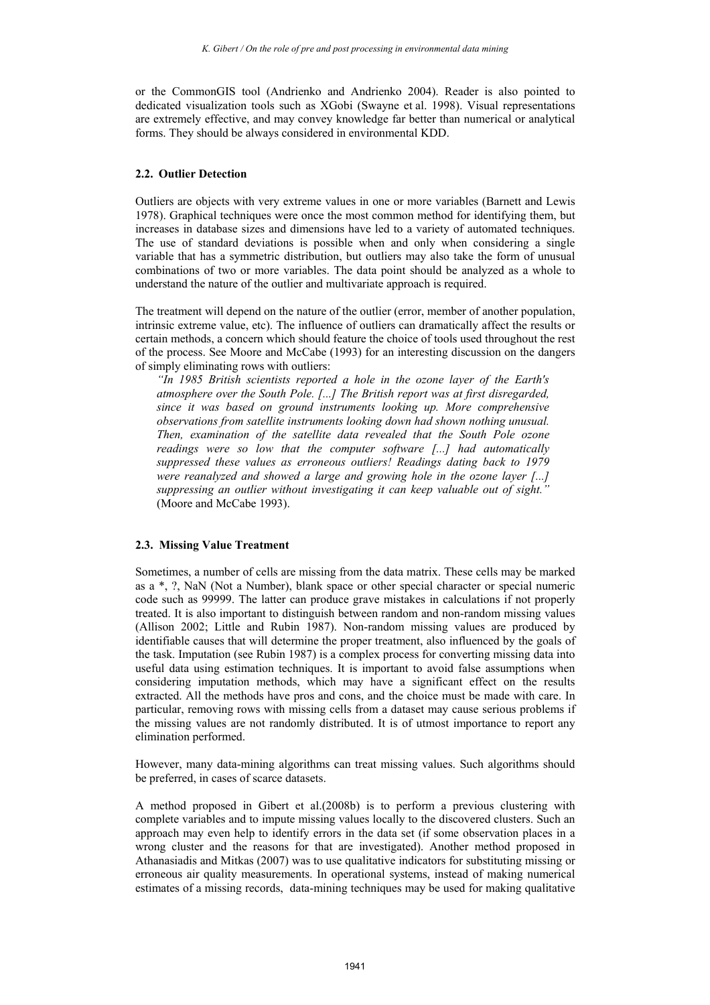or the CommonGIS tool (Andrienko and Andrienko 2004). Reader is also pointed to dedicated visualization tools such as XGobi (Swayne et al. 1998). Visual representations are extremely effective, and may convey knowledge far better than numerical or analytical forms. They should be always considered in environmental KDD.

## **2.2. Outlier Detection**

Outliers are objects with very extreme values in one or more variables (Barnett and Lewis 1978). Graphical techniques were once the most common method for identifying them, but increases in database sizes and dimensions have led to a variety of automated techniques. The use of standard deviations is possible when and only when considering a single variable that has a symmetric distribution, but outliers may also take the form of unusual combinations of two or more variables. The data point should be analyzed as a whole to understand the nature of the outlier and multivariate approach is required.

The treatment will depend on the nature of the outlier (error, member of another population, intrinsic extreme value, etc). The influence of outliers can dramatically affect the results or certain methods, a concern which should feature the choice of tools used throughout the rest of the process. See Moore and McCabe (1993) for an interesting discussion on the dangers of simply eliminating rows with outliers:

*"In 1985 British scientists reported a hole in the ozone layer of the Earth's atmosphere over the South Pole. [...] The British report was at first disregarded, since it was based on ground instruments looking up. More comprehensive observations from satellite instruments looking down had shown nothing unusual. Then, examination of the satellite data revealed that the South Pole ozone readings were so low that the computer software [...] had automatically suppressed these values as erroneous outliers! Readings dating back to 1979 were reanalyzed and showed a large and growing hole in the ozone layer [...] suppressing an outlier without investigating it can keep valuable out of sight."* (Moore and McCabe 1993).

#### **2.3. Missing Value Treatment**

Sometimes, a number of cells are missing from the data matrix. These cells may be marked as a \*, ?, NaN (Not a Number), blank space or other special character or special numeric code such as 99999. The latter can produce grave mistakes in calculations if not properly treated. It is also important to distinguish between random and non-random missing values (Allison 2002; Little and Rubin 1987). Non-random missing values are produced by identifiable causes that will determine the proper treatment, also influenced by the goals of the task. Imputation (see Rubin 1987) is a complex process for converting missing data into useful data using estimation techniques. It is important to avoid false assumptions when considering imputation methods, which may have a significant effect on the results extracted. All the methods have pros and cons, and the choice must be made with care. In particular, removing rows with missing cells from a dataset may cause serious problems if the missing values are not randomly distributed. It is of utmost importance to report any elimination performed.

However, many data-mining algorithms can treat missing values. Such algorithms should be preferred, in cases of scarce datasets.

A method proposed in Gibert et al.(2008b) is to perform a previous clustering with complete variables and to impute missing values locally to the discovered clusters. Such an approach may even help to identify errors in the data set (if some observation places in a wrong cluster and the reasons for that are investigated). Another method proposed in Athanasiadis and Mitkas (2007) was to use qualitative indicators for substituting missing or erroneous air quality measurements. In operational systems, instead of making numerical estimates of a missing records, data-mining techniques may be used for making qualitative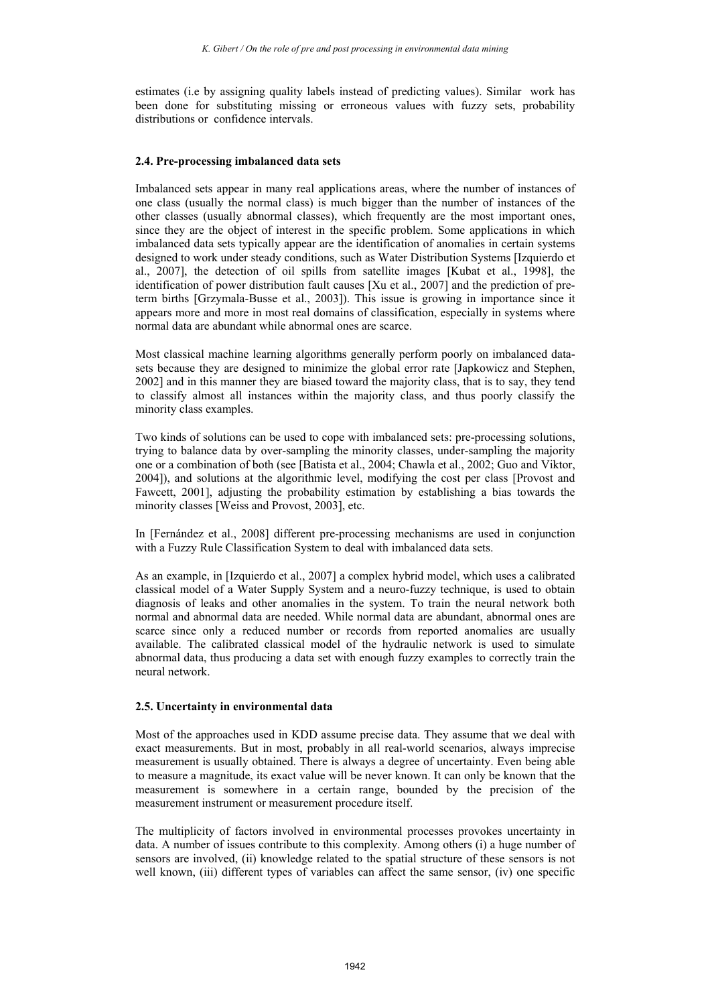estimates (i.e by assigning quality labels instead of predicting values). Similar work has been done for substituting missing or erroneous values with fuzzy sets, probability distributions or confidence intervals.

## **2.4. Pre-processing imbalanced data sets**

Imbalanced sets appear in many real applications areas, where the number of instances of one class (usually the normal class) is much bigger than the number of instances of the other classes (usually abnormal classes), which frequently are the most important ones, since they are the object of interest in the specific problem. Some applications in which imbalanced data sets typically appear are the identification of anomalies in certain systems designed to work under steady conditions, such as Water Distribution Systems [Izquierdo et al., 2007], the detection of oil spills from satellite images [Kubat et al., 1998], the identification of power distribution fault causes [Xu et al., 2007] and the prediction of preterm births [Grzymala-Busse et al., 2003]). This issue is growing in importance since it appears more and more in most real domains of classification, especially in systems where normal data are abundant while abnormal ones are scarce.

Most classical machine learning algorithms generally perform poorly on imbalanced datasets because they are designed to minimize the global error rate [Japkowicz and Stephen, 2002] and in this manner they are biased toward the majority class, that is to say, they tend to classify almost all instances within the majority class, and thus poorly classify the minority class examples.

Two kinds of solutions can be used to cope with imbalanced sets: pre-processing solutions, trying to balance data by over-sampling the minority classes, under-sampling the majority one or a combination of both (see [Batista et al., 2004; Chawla et al., 2002; Guo and Viktor, 2004]), and solutions at the algorithmic level, modifying the cost per class [Provost and Fawcett, 2001], adjusting the probability estimation by establishing a bias towards the minority classes [Weiss and Provost, 2003], etc.

In [Fernández et al., 2008] different pre-processing mechanisms are used in conjunction with a Fuzzy Rule Classification System to deal with imbalanced data sets.

As an example, in [Izquierdo et al., 2007] a complex hybrid model, which uses a calibrated classical model of a Water Supply System and a neuro-fuzzy technique, is used to obtain diagnosis of leaks and other anomalies in the system. To train the neural network both normal and abnormal data are needed. While normal data are abundant, abnormal ones are scarce since only a reduced number or records from reported anomalies are usually available. The calibrated classical model of the hydraulic network is used to simulate abnormal data, thus producing a data set with enough fuzzy examples to correctly train the neural network.

#### **2.5. Uncertainty in environmental data**

Most of the approaches used in KDD assume precise data. They assume that we deal with exact measurements. But in most, probably in all real-world scenarios, always imprecise measurement is usually obtained. There is always a degree of uncertainty. Even being able to measure a magnitude, its exact value will be never known. It can only be known that the measurement is somewhere in a certain range, bounded by the precision of the measurement instrument or measurement procedure itself.

The multiplicity of factors involved in environmental processes provokes uncertainty in data. A number of issues contribute to this complexity. Among others (i) a huge number of sensors are involved, (ii) knowledge related to the spatial structure of these sensors is not well known, (iii) different types of variables can affect the same sensor, (iv) one specific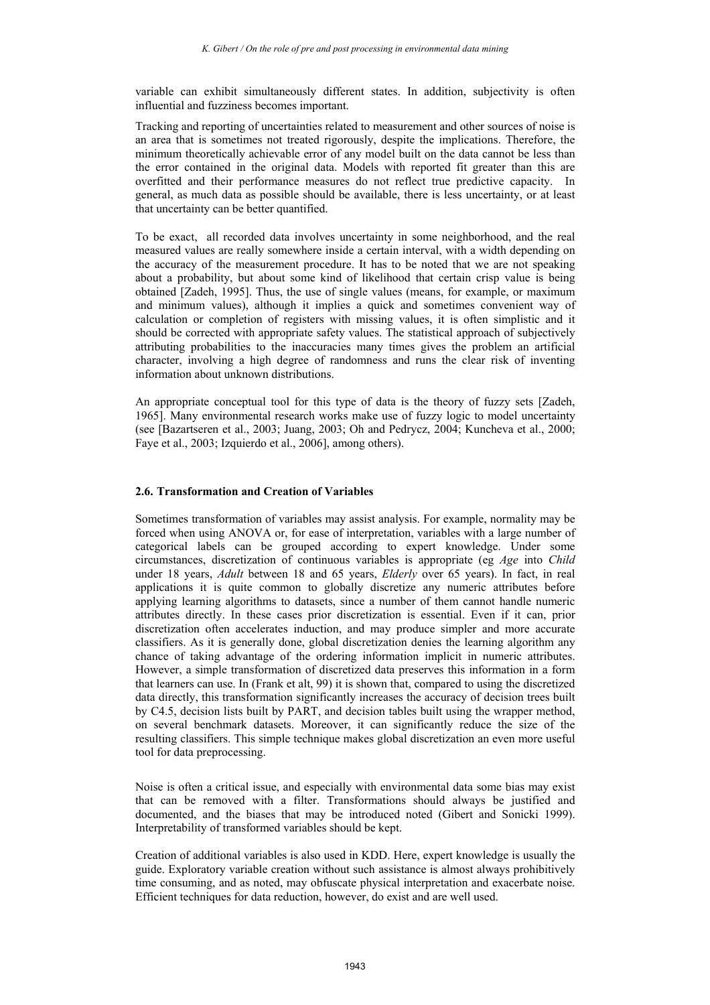variable can exhibit simultaneously different states. In addition, subjectivity is often influential and fuzziness becomes important.

Tracking and reporting of uncertainties related to measurement and other sources of noise is an area that is sometimes not treated rigorously, despite the implications. Therefore, the minimum theoretically achievable error of any model built on the data cannot be less than the error contained in the original data. Models with reported fit greater than this are overfitted and their performance measures do not reflect true predictive capacity. In general, as much data as possible should be available, there is less uncertainty, or at least that uncertainty can be better quantified.

To be exact, all recorded data involves uncertainty in some neighborhood, and the real measured values are really somewhere inside a certain interval, with a width depending on the accuracy of the measurement procedure. It has to be noted that we are not speaking about a probability, but about some kind of likelihood that certain crisp value is being obtained [Zadeh, 1995]. Thus, the use of single values (means, for example, or maximum and minimum values), although it implies a quick and sometimes convenient way of calculation or completion of registers with missing values, it is often simplistic and it should be corrected with appropriate safety values. The statistical approach of subjectively attributing probabilities to the inaccuracies many times gives the problem an artificial character, involving a high degree of randomness and runs the clear risk of inventing information about unknown distributions.

An appropriate conceptual tool for this type of data is the theory of fuzzy sets [Zadeh, 1965]. Many environmental research works make use of fuzzy logic to model uncertainty (see [Bazartseren et al., 2003; Juang, 2003; Oh and Pedrycz, 2004; Kuncheva et al., 2000; Faye et al., 2003; Izquierdo et al., 2006], among others).

## **2.6. Transformation and Creation of Variables**

Sometimes transformation of variables may assist analysis. For example, normality may be forced when using ANOVA or, for ease of interpretation, variables with a large number of categorical labels can be grouped according to expert knowledge. Under some circumstances, discretization of continuous variables is appropriate (eg *Age* into *Child* under 18 years, *Adult* between 18 and 65 years, *Elderly* over 65 years). In fact, in real applications it is quite common to globally discretize any numeric attributes before applying learning algorithms to datasets, since a number of them cannot handle numeric attributes directly. In these cases prior discretization is essential. Even if it can, prior discretization often accelerates induction, and may produce simpler and more accurate classifiers. As it is generally done, global discretization denies the learning algorithm any chance of taking advantage of the ordering information implicit in numeric attributes. However, a simple transformation of discretized data preserves this information in a form that learners can use. In (Frank et alt, 99) it is shown that, compared to using the discretized data directly, this transformation significantly increases the accuracy of decision trees built by C4.5, decision lists built by PART, and decision tables built using the wrapper method, on several benchmark datasets. Moreover, it can significantly reduce the size of the resulting classifiers. This simple technique makes global discretization an even more useful tool for data preprocessing.

Noise is often a critical issue, and especially with environmental data some bias may exist that can be removed with a filter. Transformations should always be justified and documented, and the biases that may be introduced noted (Gibert and Sonicki 1999). Interpretability of transformed variables should be kept.

Creation of additional variables is also used in KDD. Here, expert knowledge is usually the guide. Exploratory variable creation without such assistance is almost always prohibitively time consuming, and as noted, may obfuscate physical interpretation and exacerbate noise. Efficient techniques for data reduction, however, do exist and are well used.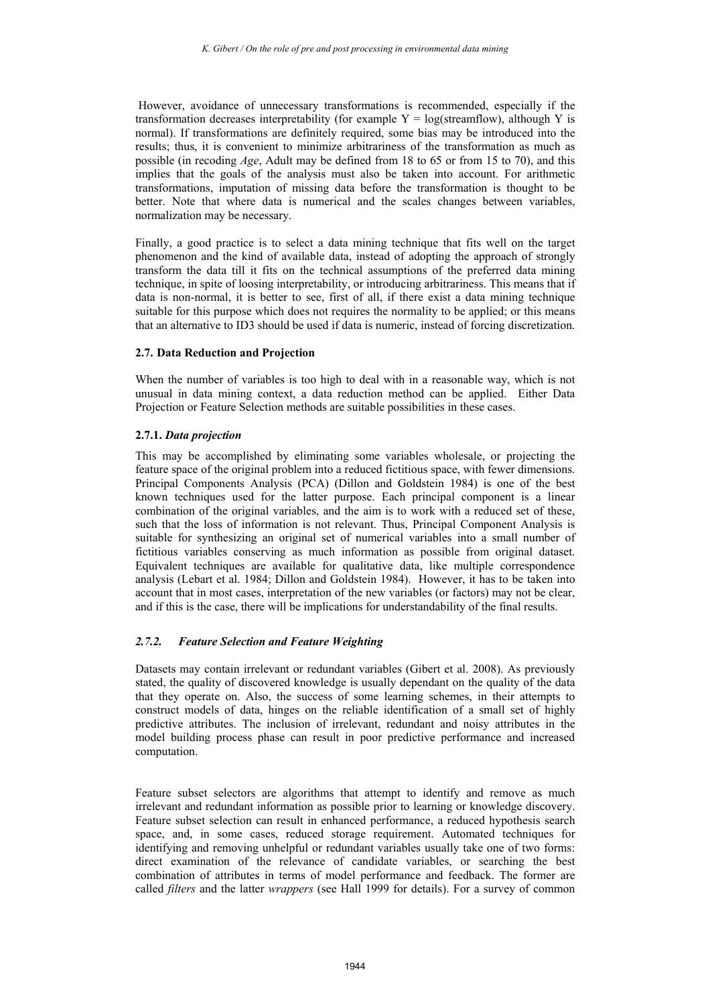However, avoidance of unnecessary transformations is recommended, especially if the transformation decreases interpretability (for example  $Y = log(\text{streamflow})$ , although Y is normal). If transformations are definitely required, some bias may be introduced into the results; thus, it is convenient to minimize arbitrariness of the transformation as much as possible (in recoding *Age*, Adult may be defined from 18 to 65 or from 15 to 70), and this implies that the goals of the analysis must also be taken into account. For arithmetic transformations, imputation of missing data before the transformation is thought to be better. Note that where data is numerical and the scales changes between variables, normalization may be necessary.

Finally, a good practice is to select a data mining technique that fits well on the target phenomenon and the kind of available data, instead of adopting the approach of strongly transform the data till it fits on the technical assumptions of the preferred data mining technique, in spite of loosing interpretability, or introducing arbitrariness. This means that if data is non-normal, it is better to see, first of all, if there exist a data mining technique suitable for this purpose which does not requires the normality to be applied; or this means that an alternative to ID3 should be used if data is numeric, instead of forcing discretization.

## **2.7. Data Reduction and Projection**

When the number of variables is too high to deal with in a reasonable way, which is not unusual in data mining context, a data reduction method can be applied. Either Data Projection or Feature Selection methods are suitable possibilities in these cases.

## **2.7.1.** *Data projection*

This may be accomplished by eliminating some variables wholesale, or projecting the feature space of the original problem into a reduced fictitious space, with fewer dimensions. Principal Components Analysis (PCA) (Dillon and Goldstein 1984) is one of the best known techniques used for the latter purpose. Each principal component is a linear combination of the original variables, and the aim is to work with a reduced set of these, such that the loss of information is not relevant. Thus, Principal Component Analysis is suitable for synthesizing an original set of numerical variables into a small number of fictitious variables conserving as much information as possible from original dataset. Equivalent techniques are available for qualitative data, like multiple correspondence analysis (Lebart et al. 1984; Dillon and Goldstein 1984). However, it has to be taken into account that in most cases, interpretation of the new variables (or factors) may not be clear, and if this is the case, there will be implications for understandability of the final results.

# *2.7.2. Feature Selection and Feature Weighting*

Datasets may contain irrelevant or redundant variables (Gibert et al. 2008). As previously stated, the quality of discovered knowledge is usually dependant on the quality of the data that they operate on. Also, the success of some learning schemes, in their attempts to construct models of data, hinges on the reliable identification of a small set of highly predictive attributes. The inclusion of irrelevant, redundant and noisy attributes in the model building process phase can result in poor predictive performance and increased computation.

Feature subset selectors are algorithms that attempt to identify and remove as much irrelevant and redundant information as possible prior to learning or knowledge discovery. Feature subset selection can result in enhanced performance, a reduced hypothesis search space, and, in some cases, reduced storage requirement. Automated techniques for identifying and removing unhelpful or redundant variables usually take one of two forms: direct examination of the relevance of candidate variables, or searching the best combination of attributes in terms of model performance and feedback. The former are called *filters* and the latter *wrappers* (see Hall 1999 for details). For a survey of common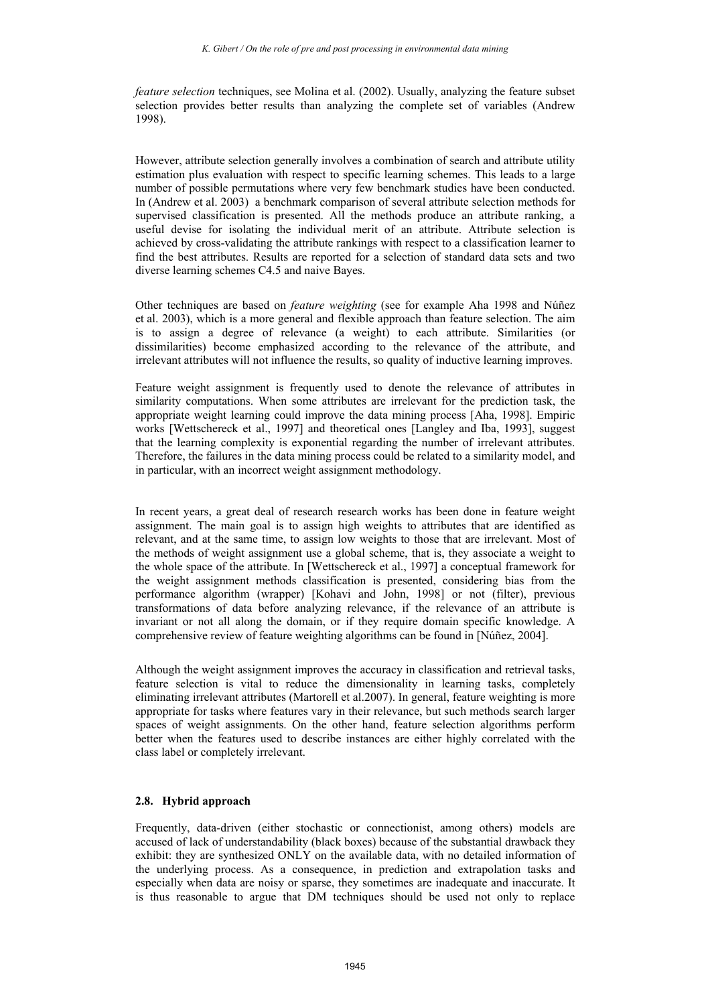*feature selection* techniques, see Molina et al. (2002). Usually, analyzing the feature subset selection provides better results than analyzing the complete set of variables (Andrew 1998).

However, attribute selection generally involves a combination of search and attribute utility estimation plus evaluation with respect to specific learning schemes. This leads to a large number of possible permutations where very few benchmark studies have been conducted. In (Andrew et al. 2003) a benchmark comparison of several attribute selection methods for supervised classification is presented. All the methods produce an attribute ranking, a useful devise for isolating the individual merit of an attribute. Attribute selection is achieved by cross-validating the attribute rankings with respect to a classification learner to find the best attributes. Results are reported for a selection of standard data sets and two diverse learning schemes C4.5 and naive Bayes.

Other techniques are based on *feature weighting* (see for example Aha 1998 and Núñez et al. 2003), which is a more general and flexible approach than feature selection. The aim is to assign a degree of relevance (a weight) to each attribute. Similarities (or dissimilarities) become emphasized according to the relevance of the attribute, and irrelevant attributes will not influence the results, so quality of inductive learning improves.

Feature weight assignment is frequently used to denote the relevance of attributes in similarity computations. When some attributes are irrelevant for the prediction task, the appropriate weight learning could improve the data mining process [Aha, 1998]. Empiric works [Wettschereck et al., 1997] and theoretical ones [Langley and Iba, 1993], suggest that the learning complexity is exponential regarding the number of irrelevant attributes. Therefore, the failures in the data mining process could be related to a similarity model, and in particular, with an incorrect weight assignment methodology.

In recent years, a great deal of research research works has been done in feature weight assignment. The main goal is to assign high weights to attributes that are identified as relevant, and at the same time, to assign low weights to those that are irrelevant. Most of the methods of weight assignment use a global scheme, that is, they associate a weight to the whole space of the attribute. In [Wettschereck et al., 1997] a conceptual framework for the weight assignment methods classification is presented, considering bias from the performance algorithm (wrapper) [Kohavi and John, 1998] or not (filter), previous transformations of data before analyzing relevance, if the relevance of an attribute is invariant or not all along the domain, or if they require domain specific knowledge. A comprehensive review of feature weighting algorithms can be found in [Núñez, 2004].

Although the weight assignment improves the accuracy in classification and retrieval tasks, feature selection is vital to reduce the dimensionality in learning tasks, completely eliminating irrelevant attributes (Martorell et al.2007). In general, feature weighting is more appropriate for tasks where features vary in their relevance, but such methods search larger spaces of weight assignments. On the other hand, feature selection algorithms perform better when the features used to describe instances are either highly correlated with the class label or completely irrelevant.

# **2.8. Hybrid approach**

Frequently, data-driven (either stochastic or connectionist, among others) models are accused of lack of understandability (black boxes) because of the substantial drawback they exhibit: they are synthesized ONLY on the available data, with no detailed information of the underlying process. As a consequence, in prediction and extrapolation tasks and especially when data are noisy or sparse, they sometimes are inadequate and inaccurate. It is thus reasonable to argue that DM techniques should be used not only to replace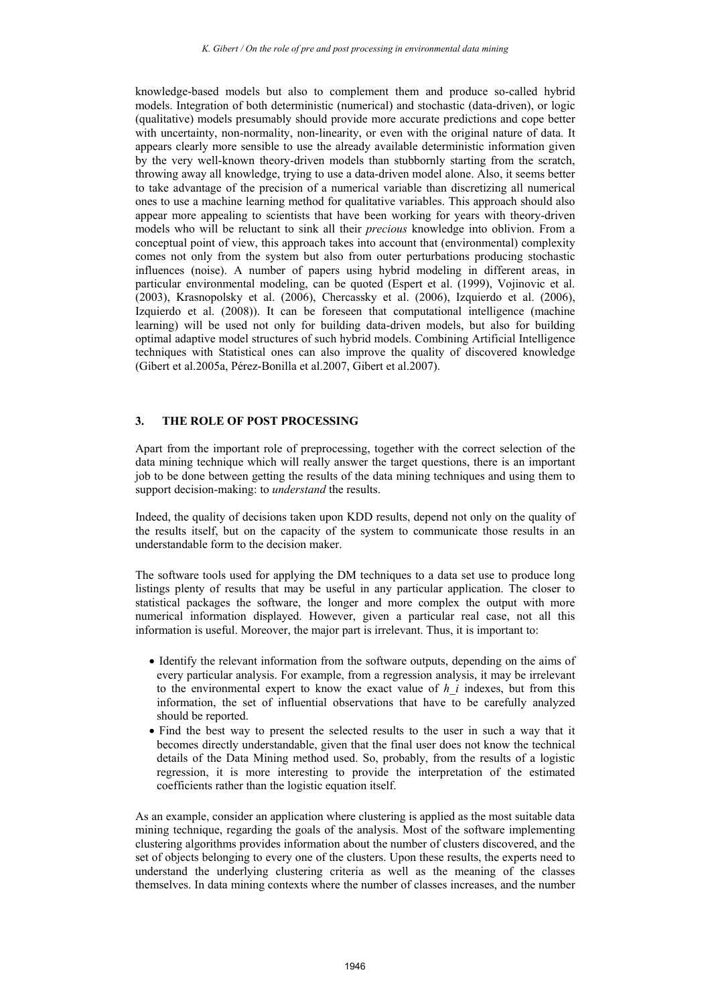knowledge-based models but also to complement them and produce so-called hybrid models. Integration of both deterministic (numerical) and stochastic (data-driven), or logic (qualitative) models presumably should provide more accurate predictions and cope better with uncertainty, non-normality, non-linearity, or even with the original nature of data. It appears clearly more sensible to use the already available deterministic information given by the very well-known theory-driven models than stubbornly starting from the scratch, throwing away all knowledge, trying to use a data-driven model alone. Also, it seems better to take advantage of the precision of a numerical variable than discretizing all numerical ones to use a machine learning method for qualitative variables. This approach should also appear more appealing to scientists that have been working for years with theory-driven models who will be reluctant to sink all their *precious* knowledge into oblivion. From a conceptual point of view, this approach takes into account that (environmental) complexity comes not only from the system but also from outer perturbations producing stochastic influences (noise). A number of papers using hybrid modeling in different areas, in particular environmental modeling, can be quoted (Espert et al. (1999), Vojinovic et al. (2003), Krasnopolsky et al. (2006), Chercassky et al. (2006), Izquierdo et al. (2006), Izquierdo et al. (2008)). It can be foreseen that computational intelligence (machine learning) will be used not only for building data-driven models, but also for building optimal adaptive model structures of such hybrid models. Combining Artificial Intelligence techniques with Statistical ones can also improve the quality of discovered knowledge (Gibert et al.2005a, Pérez-Bonilla et al.2007, Gibert et al.2007).

## **3. THE ROLE OF POST PROCESSING**

Apart from the important role of preprocessing, together with the correct selection of the data mining technique which will really answer the target questions, there is an important job to be done between getting the results of the data mining techniques and using them to support decision-making: to *understand* the results.

Indeed, the quality of decisions taken upon KDD results, depend not only on the quality of the results itself, but on the capacity of the system to communicate those results in an understandable form to the decision maker.

The software tools used for applying the DM techniques to a data set use to produce long listings plenty of results that may be useful in any particular application. The closer to statistical packages the software, the longer and more complex the output with more numerical information displayed. However, given a particular real case, not all this information is useful. Moreover, the major part is irrelevant. Thus, it is important to:

- Identify the relevant information from the software outputs, depending on the aims of every particular analysis. For example, from a regression analysis, it may be irrelevant to the environmental expert to know the exact value of *h\_i* indexes, but from this information, the set of influential observations that have to be carefully analyzed should be reported.
- Find the best way to present the selected results to the user in such a way that it becomes directly understandable, given that the final user does not know the technical details of the Data Mining method used. So, probably, from the results of a logistic regression, it is more interesting to provide the interpretation of the estimated coefficients rather than the logistic equation itself.

As an example, consider an application where clustering is applied as the most suitable data mining technique, regarding the goals of the analysis. Most of the software implementing clustering algorithms provides information about the number of clusters discovered, and the set of objects belonging to every one of the clusters. Upon these results, the experts need to understand the underlying clustering criteria as well as the meaning of the classes themselves. In data mining contexts where the number of classes increases, and the number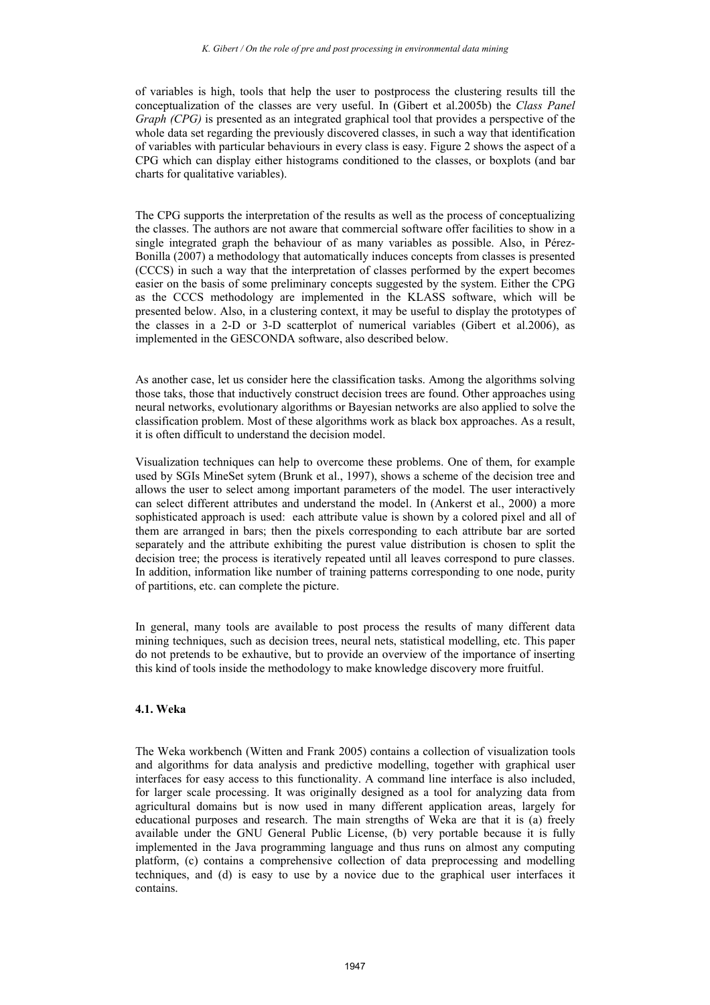of variables is high, tools that help the user to postprocess the clustering results till the conceptualization of the classes are very useful. In (Gibert et al.2005b) the *Class Panel Graph (CPG)* is presented as an integrated graphical tool that provides a perspective of the whole data set regarding the previously discovered classes, in such a way that identification of variables with particular behaviours in every class is easy. Figure 2 shows the aspect of a CPG which can display either histograms conditioned to the classes, or boxplots (and bar charts for qualitative variables).

The CPG supports the interpretation of the results as well as the process of conceptualizing the classes. The authors are not aware that commercial software offer facilities to show in a single integrated graph the behaviour of as many variables as possible. Also, in Pérez-Bonilla (2007) a methodology that automatically induces concepts from classes is presented (CCCS) in such a way that the interpretation of classes performed by the expert becomes easier on the basis of some preliminary concepts suggested by the system. Either the CPG as the CCCS methodology are implemented in the KLASS software, which will be presented below. Also, in a clustering context, it may be useful to display the prototypes of the classes in a 2-D or 3-D scatterplot of numerical variables (Gibert et al.2006), as implemented in the GESCONDA software, also described below.

As another case, let us consider here the classification tasks. Among the algorithms solving those taks, those that inductively construct decision trees are found. Other approaches using neural networks, evolutionary algorithms or Bayesian networks are also applied to solve the classification problem. Most of these algorithms work as black box approaches. As a result, it is often difficult to understand the decision model.

Visualization techniques can help to overcome these problems. One of them, for example used by SGIs MineSet sytem (Brunk et al., 1997), shows a scheme of the decision tree and allows the user to select among important parameters of the model. The user interactively can select different attributes and understand the model. In (Ankerst et al., 2000) a more sophisticated approach is used: each attribute value is shown by a colored pixel and all of them are arranged in bars; then the pixels corresponding to each attribute bar are sorted separately and the attribute exhibiting the purest value distribution is chosen to split the decision tree; the process is iteratively repeated until all leaves correspond to pure classes. In addition, information like number of training patterns corresponding to one node, purity of partitions, etc. can complete the picture.

In general, many tools are available to post process the results of many different data mining techniques, such as decision trees, neural nets, statistical modelling, etc. This paper do not pretends to be exhautive, but to provide an overview of the importance of inserting this kind of tools inside the methodology to make knowledge discovery more fruitful.

#### **4.1. Weka**

The Weka workbench (Witten and Frank 2005) contains a collection of visualization tools and algorithms for data analysis and predictive modelling, together with graphical user interfaces for easy access to this functionality. A command line interface is also included, for larger scale processing. It was originally designed as a tool for analyzing data from agricultural domains but is now used in many different application areas, largely for educational purposes and research. The main strengths of Weka are that it is (a) freely available under the GNU General Public License, (b) very portable because it is fully implemented in the Java programming language and thus runs on almost any computing platform, (c) contains a comprehensive collection of data preprocessing and modelling techniques, and (d) is easy to use by a novice due to the graphical user interfaces it contains.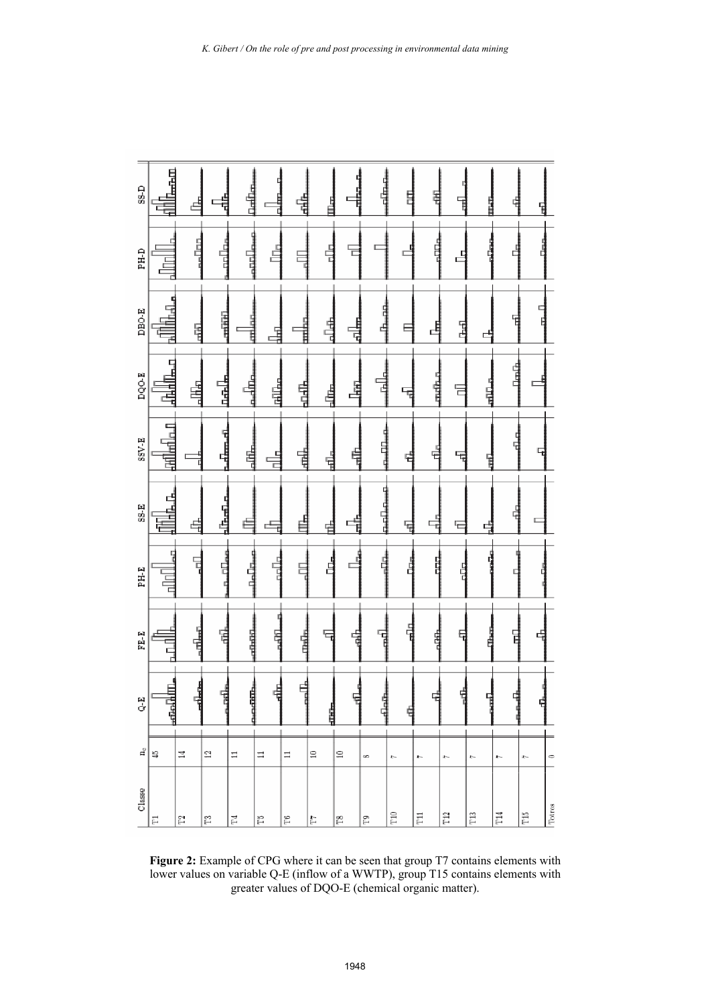| SS-D      | 上午日           |                |                      |                |          | <u>Liebe</u> |                            |                          | ŧ   |       |        |       |              | ŧ   |              | Ē                       |                         | ¢      |           | Ë     |               |   |              |    |              |         |
|-----------|---------------|----------------|----------------------|----------------|----------|--------------|----------------------------|--------------------------|-----|-------|--------|-------|--------------|-----|--------------|-------------------------|-------------------------|--------|-----------|-------|---------------|---|--------------|----|--------------|---------|
| PH-D      | 言             |                | $\frac{1}{2}$        | ard.<br>T      |          | 급            | É                          |                          |     |       | ц<br>두 |       |              |     |              |                         |                         |        |           | ٿ<br> |               |   |              |    |              |         |
| $DDBO-E$  | 中国            |                | 国王                   | 用用             |          | Ę            |                            |                          | H   |       | 녑      |       | 山中           |     |              |                         |                         |        |           | 뎒     |               | с |              |    |              |         |
| DQO-E     | E<br>玉石石      |                | 톀                    | 나도나            |          | 퉊            | <u>lefili<sub>ne</sub></u> |                          | 电电话 |       | 埥      |       | Ę            | 计时间 |              |                         |                         | i<br>H |           | 둗     |               | ᄐ |              | 自身 |              |         |
| $SSV-E$   | 480 km  a−0   |                |                      | المصطلحة       |          | હ્યુ         | 븥                          |                          | 덉   |       | 녈      |       |              |     |              | 4                       |                         | Έ      |           | 됴     |               |   |              |    |              |         |
| $S-S-E$   | Ï<br>댵        |                | $\mathbb{P}^1$<br>Ŧ, | $\frac{1}{2}$  |          |              | ς.                         |                          |     |       |        |       | Ē            | Ē   |              | $\overline{\mathbb{F}}$ |                         |        | Ę.        |       |               | Ę |              |    |              |         |
| PH-E      | 冒             |                | 둭                    | n allas        |          | 다.<br>다년     | aala.                      |                          | E   |       | 占      |       |              |     |              |                         |                         |        |           | 톱     |               |   |              |    |              |         |
| $F E - E$ | D             |                | $\frac{1}{2}$        | 뎥              |          | ᇣ            | 멻                          |                          | 뵵   |       |        |       | ć            | F   |              | 퉊                       |                         |        |           | Ę     |               |   |              | 뎥  |              |         |
| Q-E       | $\frac{1}{2}$ |                | - 대 1<br>대 1         | 냽<br>¢         |          | Ë<br>Ĕ       | 벾                          |                          | 녟   |       | 山中     |       |              | 념   |              | 뤅                       |                         |        |           |       |               | ł |              | I  |              |         |
| a,        | 쓳             | $\mathbb{I}$   |                      | $\Xi$          | $\equiv$ |              | $\equiv$                   | $\equiv$                 |     | $\Xi$ |        | $\Xi$ | œ            |     | $-1$         |                         | $-1$                    |        | $-1$      |       | $\mathcal{L}$ |   | $-1$         |    | $-1$         | $\circ$ |
| Classe    | Ë             | $\mathbb{S}^2$ |                      | $\mathbb{E}^2$ | 덬        |              | Ĕ                          | $\widetilde{\mathbb{H}}$ |     | E     |        | g     | $\mathbb{S}$ |     | $_{\rm T10}$ |                         | $\overline{\mathrm{H}}$ |        | $\rm T12$ |       | $\rm Ti3$     |   | $_{\rm T14}$ |    | $_{\rm T15}$ | Totros  |

**Figure 2:** Example of CPG where it can be seen that group T7 contains elements with lower values on variable Q-E (inflow of a WWTP), group T15 contains elements with greater values of DQO-E (chemical organic matter).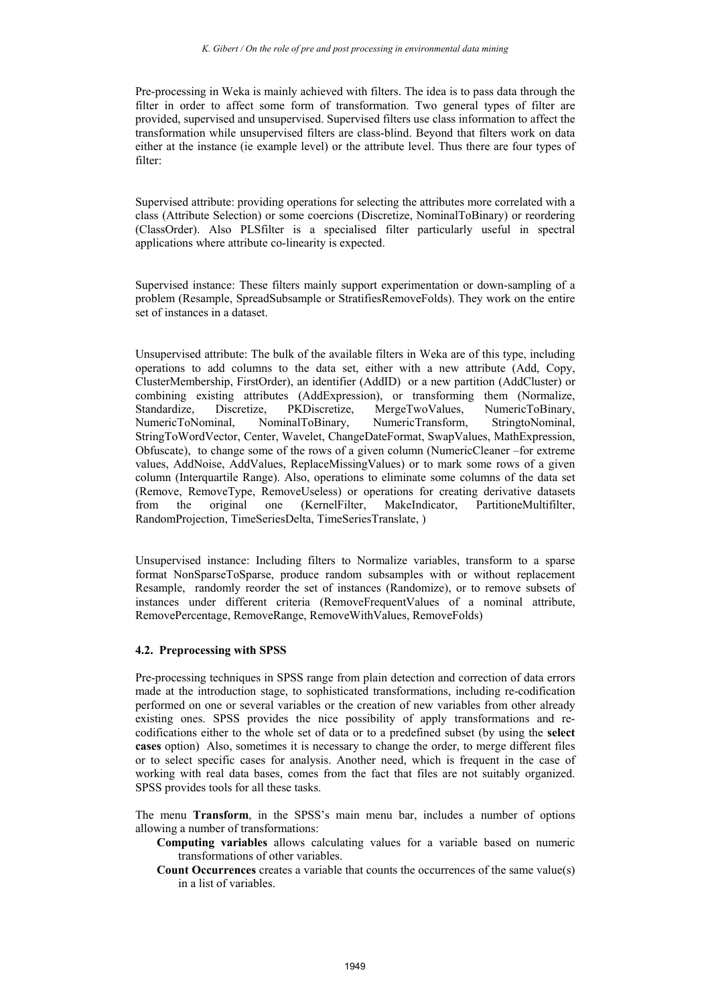Pre-processing in Weka is mainly achieved with filters. The idea is to pass data through the filter in order to affect some form of transformation. Two general types of filter are provided, supervised and unsupervised. Supervised filters use class information to affect the transformation while unsupervised filters are class-blind. Beyond that filters work on data either at the instance (ie example level) or the attribute level. Thus there are four types of filter:

Supervised attribute: providing operations for selecting the attributes more correlated with a class (Attribute Selection) or some coercions (Discretize, NominalToBinary) or reordering (ClassOrder). Also PLSfilter is a specialised filter particularly useful in spectral applications where attribute co-linearity is expected.

Supervised instance: These filters mainly support experimentation or down-sampling of a problem (Resample, SpreadSubsample or StratifiesRemoveFolds). They work on the entire set of instances in a dataset.

Unsupervised attribute: The bulk of the available filters in Weka are of this type, including operations to add columns to the data set, either with a new attribute (Add, Copy, ClusterMembership, FirstOrder), an identifier (AddID) or a new partition (AddCluster) or combining existing attributes (AddExpression), or transforming them (Normalize, Standardize, Discretize, PKDiscretize, MergeTwoValues, NumericToBinary, NumericToNominal, NominalToBinary, NumericTransform, StringtoNominal, StringToWordVector, Center, Wavelet, ChangeDateFormat, SwapValues, MathExpression, Obfuscate), to change some of the rows of a given column (NumericCleaner –for extreme values, AddNoise, AddValues, ReplaceMissingValues) or to mark some rows of a given column (Interquartile Range). Also, operations to eliminate some columns of the data set (Remove, RemoveType, RemoveUseless) or operations for creating derivative datasets from the original one (KernelFilter, MakeIndicator, PartitioneMultifilter, RandomProjection, TimeSeriesDelta, TimeSeriesTranslate, )

Unsupervised instance: Including filters to Normalize variables, transform to a sparse format NonSparseToSparse, produce random subsamples with or without replacement Resample, randomly reorder the set of instances (Randomize), or to remove subsets of instances under different criteria (RemoveFrequentValues of a nominal attribute, RemovePercentage, RemoveRange, RemoveWithValues, RemoveFolds)

## **4.2. Preprocessing with SPSS**

Pre-processing techniques in SPSS range from plain detection and correction of data errors made at the introduction stage, to sophisticated transformations, including re-codification performed on one or several variables or the creation of new variables from other already existing ones. SPSS provides the nice possibility of apply transformations and recodifications either to the whole set of data or to a predefined subset (by using the **select cases** option) Also, sometimes it is necessary to change the order, to merge different files or to select specific cases for analysis. Another need, which is frequent in the case of working with real data bases, comes from the fact that files are not suitably organized. SPSS provides tools for all these tasks.

The menu **Transform**, in the SPSS's main menu bar, includes a number of options allowing a number of transformations:

**Computing variables** allows calculating values for a variable based on numeric transformations of other variables.

**Count Occurrences** creates a variable that counts the occurrences of the same value(s) in a list of variables.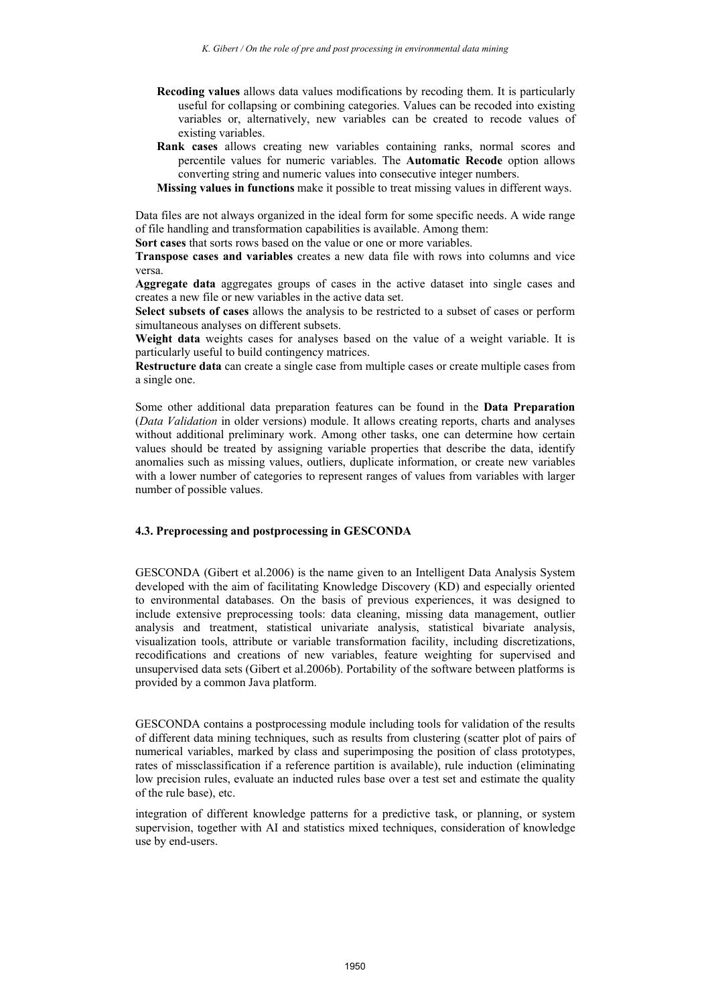- **Recoding values** allows data values modifications by recoding them. It is particularly useful for collapsing or combining categories. Values can be recoded into existing variables or, alternatively, new variables can be created to recode values of existing variables.
- **Rank cases** allows creating new variables containing ranks, normal scores and percentile values for numeric variables. The **Automatic Recode** option allows converting string and numeric values into consecutive integer numbers.
- **Missing values in functions** make it possible to treat missing values in different ways.

Data files are not always organized in the ideal form for some specific needs. A wide range of file handling and transformation capabilities is available. Among them:

**Sort cases** that sorts rows based on the value or one or more variables.

**Transpose cases and variables** creates a new data file with rows into columns and vice versa.

**Aggregate data** aggregates groups of cases in the active dataset into single cases and creates a new file or new variables in the active data set.

**Select subsets of cases** allows the analysis to be restricted to a subset of cases or perform simultaneous analyses on different subsets.

**Weight data** weights cases for analyses based on the value of a weight variable. It is particularly useful to build contingency matrices.

**Restructure data** can create a single case from multiple cases or create multiple cases from a single one.

Some other additional data preparation features can be found in the **Data Preparation** (*Data Validation* in older versions) module. It allows creating reports, charts and analyses without additional preliminary work. Among other tasks, one can determine how certain values should be treated by assigning variable properties that describe the data, identify anomalies such as missing values, outliers, duplicate information, or create new variables with a lower number of categories to represent ranges of values from variables with larger number of possible values.

#### **4.3. Preprocessing and postprocessing in GESCONDA**

GESCONDA (Gibert et al.2006) is the name given to an Intelligent Data Analysis System developed with the aim of facilitating Knowledge Discovery (KD) and especially oriented to environmental databases. On the basis of previous experiences, it was designed to include extensive preprocessing tools: data cleaning, missing data management, outlier analysis and treatment, statistical univariate analysis, statistical bivariate analysis, visualization tools, attribute or variable transformation facility, including discretizations, recodifications and creations of new variables, feature weighting for supervised and unsupervised data sets (Gibert et al.2006b). Portability of the software between platforms is provided by a common Java platform.

GESCONDA contains a postprocessing module including tools for validation of the results of different data mining techniques, such as results from clustering (scatter plot of pairs of numerical variables, marked by class and superimposing the position of class prototypes, rates of missclassification if a reference partition is available), rule induction (eliminating low precision rules, evaluate an inducted rules base over a test set and estimate the quality of the rule base), etc.

integration of different knowledge patterns for a predictive task, or planning, or system supervision, together with AI and statistics mixed techniques, consideration of knowledge use by end-users.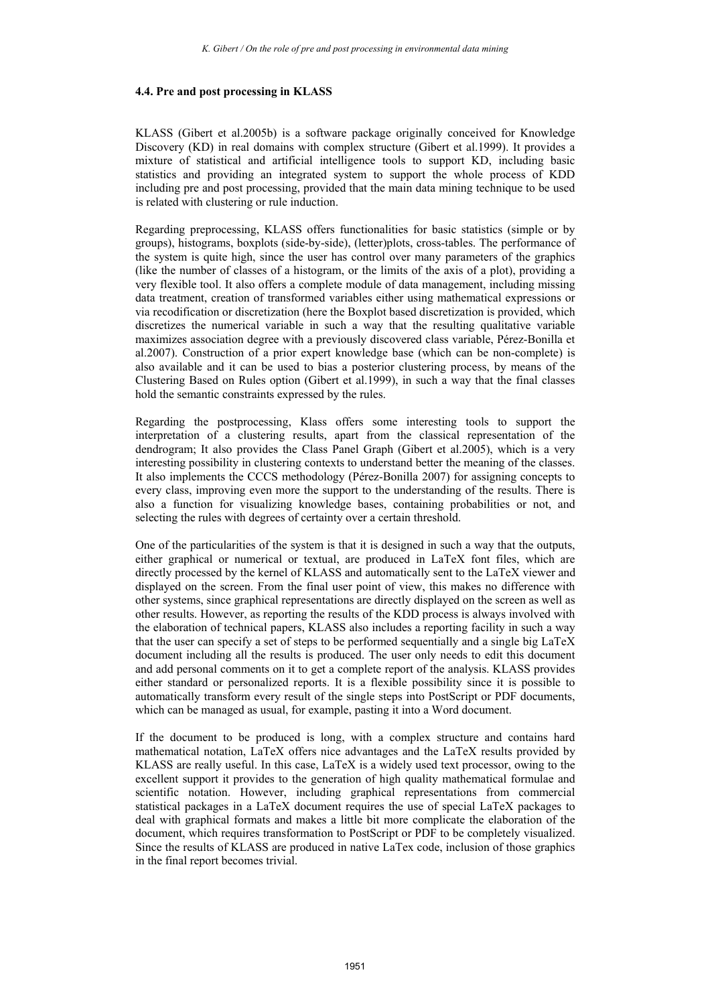#### **4.4. Pre and post processing in KLASS**

KLASS (Gibert et al.2005b) is a software package originally conceived for Knowledge Discovery (KD) in real domains with complex structure (Gibert et al.1999). It provides a mixture of statistical and artificial intelligence tools to support KD, including basic statistics and providing an integrated system to support the whole process of KDD including pre and post processing, provided that the main data mining technique to be used is related with clustering or rule induction.

Regarding preprocessing, KLASS offers functionalities for basic statistics (simple or by groups), histograms, boxplots (side-by-side), (letter)plots, cross-tables. The performance of the system is quite high, since the user has control over many parameters of the graphics (like the number of classes of a histogram, or the limits of the axis of a plot), providing a very flexible tool. It also offers a complete module of data management, including missing data treatment, creation of transformed variables either using mathematical expressions or via recodification or discretization (here the Boxplot based discretization is provided, which discretizes the numerical variable in such a way that the resulting qualitative variable maximizes association degree with a previously discovered class variable, Pérez-Bonilla et al.2007). Construction of a prior expert knowledge base (which can be non-complete) is also available and it can be used to bias a posterior clustering process, by means of the Clustering Based on Rules option (Gibert et al.1999), in such a way that the final classes hold the semantic constraints expressed by the rules.

Regarding the postprocessing, Klass offers some interesting tools to support the interpretation of a clustering results, apart from the classical representation of the dendrogram; It also provides the Class Panel Graph (Gibert et al.2005), which is a very interesting possibility in clustering contexts to understand better the meaning of the classes. It also implements the CCCS methodology (Pérez-Bonilla 2007) for assigning concepts to every class, improving even more the support to the understanding of the results. There is also a function for visualizing knowledge bases, containing probabilities or not, and selecting the rules with degrees of certainty over a certain threshold.

One of the particularities of the system is that it is designed in such a way that the outputs, either graphical or numerical or textual, are produced in LaTeX font files, which are directly processed by the kernel of KLASS and automatically sent to the LaTeX viewer and displayed on the screen. From the final user point of view, this makes no difference with other systems, since graphical representations are directly displayed on the screen as well as other results. However, as reporting the results of the KDD process is always involved with the elaboration of technical papers, KLASS also includes a reporting facility in such a way that the user can specify a set of steps to be performed sequentially and a single big LaTeX document including all the results is produced. The user only needs to edit this document and add personal comments on it to get a complete report of the analysis. KLASS provides either standard or personalized reports. It is a flexible possibility since it is possible to automatically transform every result of the single steps into PostScript or PDF documents, which can be managed as usual, for example, pasting it into a Word document.

If the document to be produced is long, with a complex structure and contains hard mathematical notation, LaTeX offers nice advantages and the LaTeX results provided by KLASS are really useful. In this case, LaTeX is a widely used text processor, owing to the excellent support it provides to the generation of high quality mathematical formulae and scientific notation. However, including graphical representations from commercial statistical packages in a LaTeX document requires the use of special LaTeX packages to deal with graphical formats and makes a little bit more complicate the elaboration of the document, which requires transformation to PostScript or PDF to be completely visualized. Since the results of KLASS are produced in native LaTex code, inclusion of those graphics in the final report becomes trivial.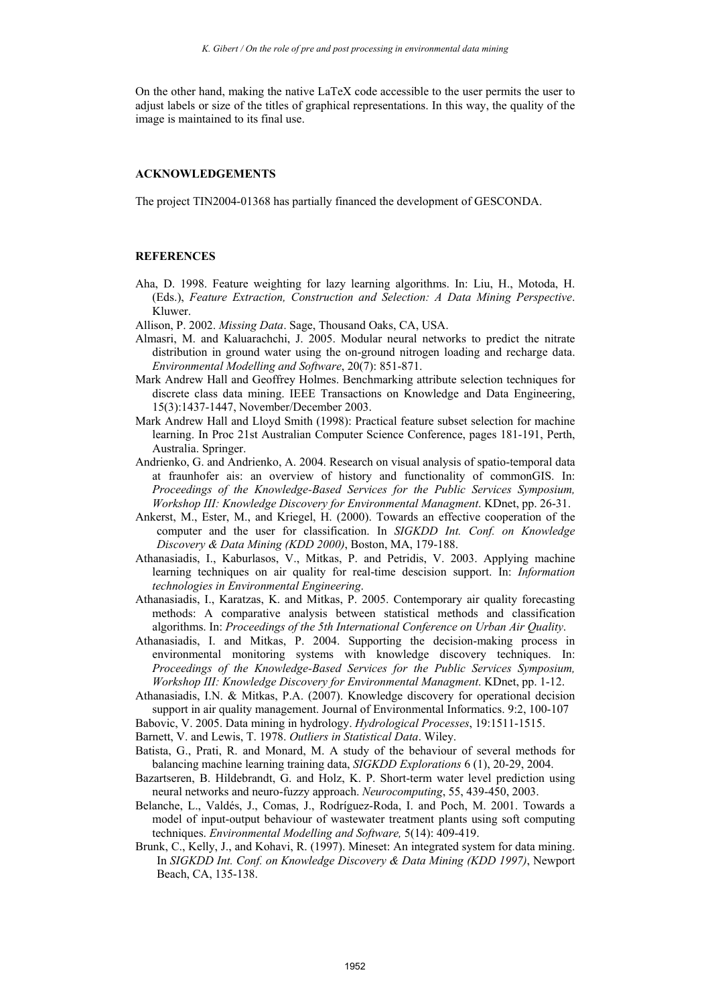On the other hand, making the native LaTeX code accessible to the user permits the user to adjust labels or size of the titles of graphical representations. In this way, the quality of the image is maintained to its final use.

#### **ACKNOWLEDGEMENTS**

The project TIN2004-01368 has partially financed the development of GESCONDA.

#### **REFERENCES**

- Aha, D. 1998. Feature weighting for lazy learning algorithms. In: Liu, H., Motoda, H. (Eds.), *Feature Extraction, Construction and Selection: A Data Mining Perspective*. Kluwer.
- Allison, P. 2002. *Missing Data*. Sage, Thousand Oaks, CA, USA.
- Almasri, M. and Kaluarachchi, J. 2005. Modular neural networks to predict the nitrate distribution in ground water using the on-ground nitrogen loading and recharge data. *Environmental Modelling and Software*, 20(7): 851-871.
- Mark Andrew Hall and Geoffrey Holmes. Benchmarking attribute selection techniques for discrete class data mining. IEEE Transactions on Knowledge and Data Engineering, 15(3):1437-1447, November/December 2003.
- Mark Andrew Hall and Lloyd Smith (1998): Practical feature subset selection for machine learning. In Proc 21st Australian Computer Science Conference, pages 181-191, Perth, Australia. Springer.
- Andrienko, G. and Andrienko, A. 2004. Research on visual analysis of spatio-temporal data at fraunhofer ais: an overview of history and functionality of commonGIS. In: *Proceedings of the Knowledge-Based Services for the Public Services Symposium, Workshop III: Knowledge Discovery for Environmental Managment*. KDnet, pp. 26-31.
- Ankerst, M., Ester, M., and Kriegel, H. (2000). Towards an effective cooperation of the computer and the user for classification. In *SIGKDD Int. Conf. on Knowledge Discovery & Data Mining (KDD 2000)*, Boston, MA, 179-188.
- Athanasiadis, I., Kaburlasos, V., Mitkas, P. and Petridis, V. 2003. Applying machine learning techniques on air quality for real-time descision support. In: *Information technologies in Environmental Engineering*.
- Athanasiadis, I., Karatzas, K. and Mitkas, P. 2005. Contemporary air quality forecasting methods: A comparative analysis between statistical methods and classification algorithms. In: *Proceedings of the 5th International Conference on Urban Air Quality*.
- Athanasiadis, I. and Mitkas, P. 2004. Supporting the decision-making process in environmental monitoring systems with knowledge discovery techniques. In: *Proceedings of the Knowledge-Based Services for the Public Services Symposium, Workshop III: Knowledge Discovery for Environmental Managment*. KDnet, pp. 1-12.
- Athanasiadis, I.N. & Mitkas, P.A. (2007). Knowledge discovery for operational decision support in air quality management. Journal of Environmental Informatics. 9:2, 100-107
- Babovic, V. 2005. Data mining in hydrology. *Hydrological Processes*, 19:1511-1515.

Barnett, V. and Lewis, T. 1978. *Outliers in Statistical Data*. Wiley.

- Batista, G., Prati, R. and Monard, M. A study of the behaviour of several methods for balancing machine learning training data, *SIGKDD Explorations* 6 (1), 20-29, 2004.
- Bazartseren, B. Hildebrandt, G. and Holz, K. P. Short-term water level prediction using neural networks and neuro-fuzzy approach. *Neurocomputing*, 55, 439-450, 2003.
- Belanche, L., Valdés, J., Comas, J., Rodríguez-Roda, I. and Poch, M. 2001. Towards a model of input-output behaviour of wastewater treatment plants using soft computing techniques. *Environmental Modelling and Software,* 5(14): 409-419.
- Brunk, C., Kelly, J., and Kohavi, R. (1997). Mineset: An integrated system for data mining. In *SIGKDD Int. Conf. on Knowledge Discovery & Data Mining (KDD 1997)*, Newport Beach, CA, 135-138.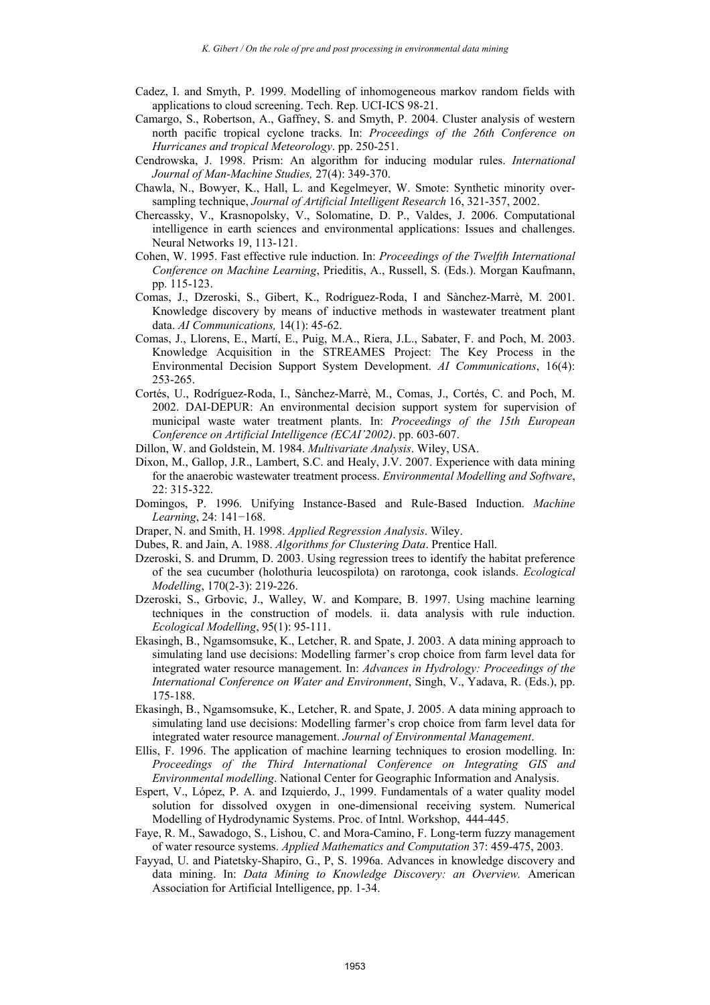- Cadez, I. and Smyth, P. 1999. Modelling of inhomogeneous markov random fields with applications to cloud screening. Tech. Rep. UCI-ICS 98-21.
- Camargo, S., Robertson, A., Gaffney, S. and Smyth, P. 2004. Cluster analysis of western north pacific tropical cyclone tracks. In: *Proceedings of the 26th Conference on Hurricanes and tropical Meteorology*. pp. 250-251.
- Cendrowska, J. 1998. Prism: An algorithm for inducing modular rules. *International Journal of Man-Machine Studies,* 27(4): 349-370.
- Chawla, N., Bowyer, K., Hall, L. and Kegelmeyer, W. Smote: Synthetic minority oversampling technique, *Journal of Artificial Intelligent Research* 16, 321-357, 2002.
- Chercassky, V., Krasnopolsky, V., Solomatine, D. P., Valdes, J. 2006. Computational intelligence in earth sciences and environmental applications: Issues and challenges. Neural Networks 19, 113-121.
- Cohen, W. 1995. Fast effective rule induction. In: *Proceedings of the Twelfth International Conference on Machine Learning*, Prieditis, A., Russell, S. (Eds.). Morgan Kaufmann, pp. 115-123.
- Comas, J., Dzeroski, S., Gibert, K., Rodríguez-Roda, I and Sànchez-Marrè, M. 2001. Knowledge discovery by means of inductive methods in wastewater treatment plant data. *AI Communications,* 14(1): 45-62.
- Comas, J., Llorens, E., Martí, E., Puig, M.A., Riera, J.L., Sabater, F. and Poch, M. 2003. Knowledge Acquisition in the STREAMES Project: The Key Process in the Environmental Decision Support System Development. *AI Communications*, 16(4): 253-265.
- Cortés, U., Rodríguez-Roda, I., Sànchez-Marrè, M., Comas, J., Cortés, C. and Poch, M. 2002. DAI-DEPUR: An environmental decision support system for supervision of municipal waste water treatment plants. In: *Proceedings of the 15th European Conference on Artificial Intelligence (ECAI'2002)*. pp. 603-607.
- Dillon, W. and Goldstein, M. 1984. *Multivariate Analysis*. Wiley, USA.
- Dixon, M., Gallop, J.R., Lambert, S.C. and Healy, J.V. 2007. Experience with data mining for the anaerobic wastewater treatment process. *Environmental Modelling and Software*, 22: 315-322.
- Domingos, P. 1996. Unifying Instance-Based and Rule-Based Induction. *Machine Learning*, 24: 141−168.
- Draper, N. and Smith, H. 1998. *Applied Regression Analysis*. Wiley.
- Dubes, R. and Jain, A. 1988. *Algorithms for Clustering Data*. Prentice Hall.
- Dzeroski, S. and Drumm, D. 2003. Using regression trees to identify the habitat preference of the sea cucumber (holothuria leucospilota) on rarotonga, cook islands. *Ecological Modelling*, 170(2-3): 219-226.
- Dzeroski, S., Grbovic, J., Walley, W. and Kompare, B. 1997. Using machine learning techniques in the construction of models. ii. data analysis with rule induction. *Ecological Modelling*, 95(1): 95-111.
- Ekasingh, B., Ngamsomsuke, K., Letcher, R. and Spate, J. 2003. A data mining approach to simulating land use decisions: Modelling farmer's crop choice from farm level data for integrated water resource management. In: *Advances in Hydrology: Proceedings of the International Conference on Water and Environment*, Singh, V., Yadava, R. (Eds.), pp. 175-188.
- Ekasingh, B., Ngamsomsuke, K., Letcher, R. and Spate, J. 2005. A data mining approach to simulating land use decisions: Modelling farmer's crop choice from farm level data for integrated water resource management. *Journal of Environmental Management*.
- Ellis, F. 1996. The application of machine learning techniques to erosion modelling. In: *Proceedings of the Third International Conference on Integrating GIS and Environmental modelling*. National Center for Geographic Information and Analysis.
- Espert, V., López, P. A. and Izquierdo, J., 1999. Fundamentals of a water quality model solution for dissolved oxygen in one-dimensional receiving system. Numerical Modelling of Hydrodynamic Systems. Proc. of Intnl. Workshop, 444-445.
- Faye, R. M., Sawadogo, S., Lishou, C. and Mora-Camino, F. Long-term fuzzy management of water resource systems. *Applied Mathematics and Computation* 37: 459-475, 2003.
- Fayyad, U. and Piatetsky-Shapiro, G., P, S. 1996a. Advances in knowledge discovery and data mining. In: *Data Mining to Knowledge Discovery: an Overview.* American Association for Artificial Intelligence, pp. 1-34.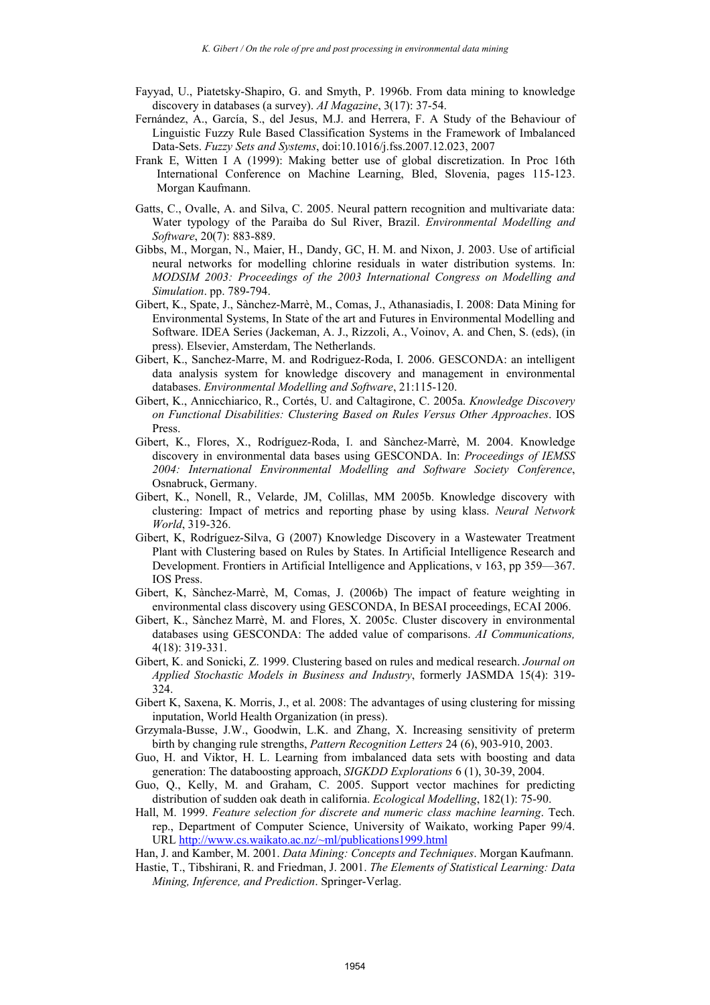- Fayyad, U., Piatetsky-Shapiro, G. and Smyth, P. 1996b. From data mining to knowledge discovery in databases (a survey). *AI Magazine*, 3(17): 37-54.
- Fernández, A., García, S., del Jesus, M.J. and Herrera, F. A Study of the Behaviour of Linguistic Fuzzy Rule Based Classification Systems in the Framework of Imbalanced Data-Sets. *Fuzzy Sets and Systems*, doi:10.1016/j.fss.2007.12.023, 2007
- Frank E, Witten I A (1999): Making better use of global discretization. In Proc 16th International Conference on Machine Learning, Bled, Slovenia, pages 115-123. Morgan Kaufmann.
- Gatts, C., Ovalle, A. and Silva, C. 2005. Neural pattern recognition and multivariate data: Water typology of the Paraiba do Sul River, Brazil. *Environmental Modelling and Software*, 20(7): 883-889.
- Gibbs, M., Morgan, N., Maier, H., Dandy, GC, H. M. and Nixon, J. 2003. Use of artificial neural networks for modelling chlorine residuals in water distribution systems. In: *MODSIM 2003: Proceedings of the 2003 International Congress on Modelling and Simulation*. pp. 789-794.
- Gibert, K., Spate, J., Sànchez-Marrè, M., Comas, J., Athanasiadis, I. 2008: Data Mining for Environmental Systems, In State of the art and Futures in Environmental Modelling and Software. IDEA Series (Jackeman, A. J., Rizzoli, A., Voinov, A. and Chen, S. (eds), (in press). Elsevier, Amsterdam, The Netherlands.
- Gibert, K., Sanchez-Marre, M. and Rodriguez-Roda, I. 2006. GESCONDA: an intelligent data analysis system for knowledge discovery and management in environmental databases. *Environmental Modelling and Software*, 21:115-120.
- Gibert, K., Annicchiarico, R., Cortés, U. and Caltagirone, C. 2005a. *Knowledge Discovery on Functional Disabilities: Clustering Based on Rules Versus Other Approaches*. IOS Press.
- Gibert, K., Flores, X., Rodríguez-Roda, I. and Sànchez-Marrè, M. 2004. Knowledge discovery in environmental data bases using GESCONDA. In: *Proceedings of IEMSS 2004: International Environmental Modelling and Software Society Conference*, Osnabruck, Germany.
- Gibert, K., Nonell, R., Velarde, JM, Colillas, MM 2005b. Knowledge discovery with clustering: Impact of metrics and reporting phase by using klass. *Neural Network World*, 319-326.
- Gibert, K, Rodríguez-Silva, G (2007) Knowledge Discovery in a Wastewater Treatment Plant with Clustering based on Rules by States. In Artificial Intelligence Research and Development. Frontiers in Artificial Intelligence and Applications, v 163, pp 359—367. IOS Press.
- Gibert, K, Sànchez-Marrè, M, Comas, J. (2006b) The impact of feature weighting in environmental class discovery using GESCONDA, In BESAI proceedings, ECAI 2006.
- Gibert, K., Sànchez Marrè, M. and Flores, X. 2005c. Cluster discovery in environmental databases using GESCONDA: The added value of comparisons. *AI Communications,* 4(18): 319-331.
- Gibert, K. and Sonicki, Z. 1999. Clustering based on rules and medical research. *Journal on Applied Stochastic Models in Business and Industry*, formerly JASMDA 15(4): 319- 324.
- Gibert K, Saxena, K. Morris, J., et al. 2008: The advantages of using clustering for missing inputation, World Health Organization (in press).
- Grzymala-Busse, J.W., Goodwin, L.K. and Zhang, X. Increasing sensitivity of preterm birth by changing rule strengths, *Pattern Recognition Letters* 24 (6), 903-910, 2003.
- Guo, H. and Viktor, H. L. Learning from imbalanced data sets with boosting and data generation: The databoosting approach, *SIGKDD Explorations* 6 (1), 30-39, 2004.
- Guo, Q., Kelly, M. and Graham, C. 2005. Support vector machines for predicting distribution of sudden oak death in california. *Ecological Modelling*, 182(1): 75-90.
- Hall, M. 1999. *Feature selection for discrete and numeric class machine learning*. Tech. rep., Department of Computer Science, University of Waikato, working Paper 99/4. URL http://www.cs.waikato.ac.nz/~ml/publications1999.html
- Han, J. and Kamber, M. 2001. *Data Mining: Concepts and Techniques*. Morgan Kaufmann.
- Hastie, T., Tibshirani, R. and Friedman, J. 2001. *The Elements of Statistical Learning: Data Mining, Inference, and Prediction*. Springer-Verlag.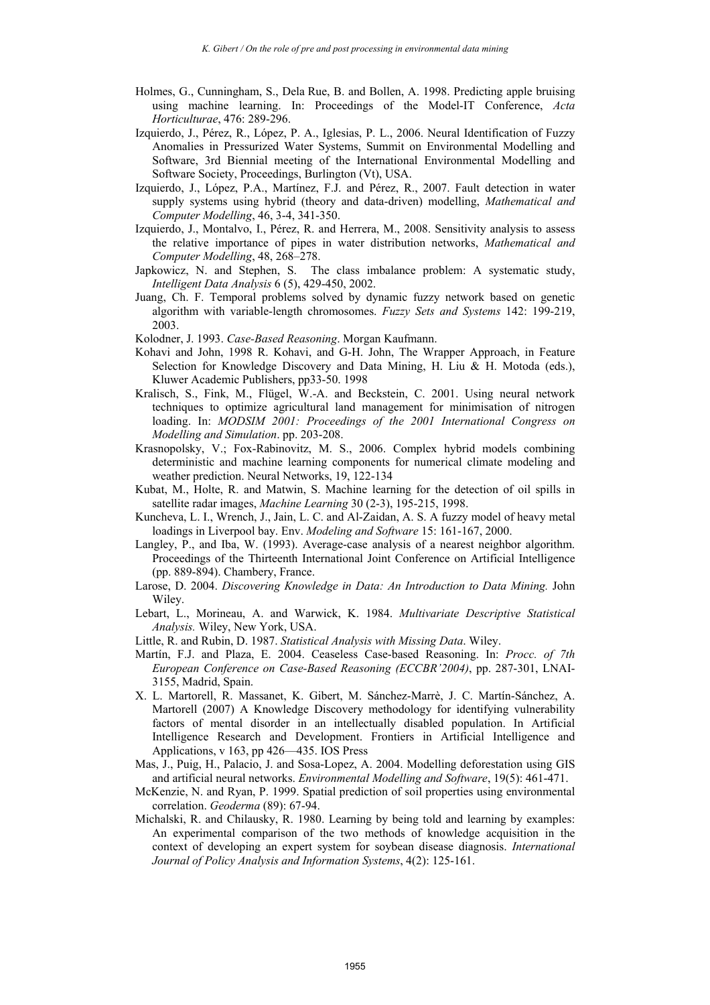- Holmes, G., Cunningham, S., Dela Rue, B. and Bollen, A. 1998. Predicting apple bruising using machine learning. In: Proceedings of the Model-IT Conference, *Acta Horticulturae*, 476: 289-296.
- Izquierdo, J., Pérez, R., López, P. A., Iglesias, P. L., 2006. Neural Identification of Fuzzy Anomalies in Pressurized Water Systems, Summit on Environmental Modelling and Software, 3rd Biennial meeting of the International Environmental Modelling and Software Society, Proceedings, Burlington (Vt), USA.
- Izquierdo, J., López, P.A., Martínez, F.J. and Pérez, R., 2007. Fault detection in water supply systems using hybrid (theory and data-driven) modelling, *Mathematical and Computer Modelling*, 46, 3-4, 341-350.
- Izquierdo, J., Montalvo, I., Pérez, R. and Herrera, M., 2008. Sensitivity analysis to assess the relative importance of pipes in water distribution networks, *Mathematical and Computer Modelling*, 48, 268–278.
- Japkowicz, N. and Stephen, S. The class imbalance problem: A systematic study, *Intelligent Data Analysis* 6 (5), 429-450, 2002.
- Juang, Ch. F. Temporal problems solved by dynamic fuzzy network based on genetic algorithm with variable-length chromosomes. *Fuzzy Sets and Systems* 142: 199-219, 2003.
- Kolodner, J. 1993. *Case-Based Reasoning*. Morgan Kaufmann.
- Kohavi and John, 1998 R. Kohavi, and G-H. John, The Wrapper Approach, in Feature Selection for Knowledge Discovery and Data Mining, H. Liu & H. Motoda (eds.), Kluwer Academic Publishers, pp33-50. 1998
- Kralisch, S., Fink, M., Flügel, W.-A. and Beckstein, C. 2001. Using neural network techniques to optimize agricultural land management for minimisation of nitrogen loading. In: *MODSIM 2001: Proceedings of the 2001 International Congress on Modelling and Simulation*. pp. 203-208.
- Krasnopolsky, V.; Fox-Rabinovitz, M. S., 2006. Complex hybrid models combining deterministic and machine learning components for numerical climate modeling and weather prediction. Neural Networks, 19, 122-134
- Kubat, M., Holte, R. and Matwin, S. Machine learning for the detection of oil spills in satellite radar images, *Machine Learning* 30 (2-3), 195-215, 1998.
- Kuncheva, L. I., Wrench, J., Jain, L. C. and Al-Zaidan, A. S. A fuzzy model of heavy metal loadings in Liverpool bay. Env. *Modeling and Software* 15: 161-167, 2000.
- Langley, P., and Iba, W. (1993). Average-case analysis of a nearest neighbor algorithm. Proceedings of the Thirteenth International Joint Conference on Artificial Intelligence (pp. 889-894). Chambery, France.
- Larose, D. 2004. *Discovering Knowledge in Data: An Introduction to Data Mining.* John Wiley.
- Lebart, L., Morineau, A. and Warwick, K. 1984. *Multivariate Descriptive Statistical Analysis.* Wiley, New York, USA.
- Little, R. and Rubin, D. 1987. *Statistical Analysis with Missing Data*. Wiley.
- Martín, F.J. and Plaza, E. 2004. Ceaseless Case-based Reasoning. In: *Procc. of 7th European Conference on Case-Based Reasoning (ECCBR'2004)*, pp. 287-301, LNAI-3155, Madrid, Spain.
- X. L. Martorell, R. Massanet, K. Gibert, M. Sánchez-Marrè, J. C. Martín-Sánchez, A. Martorell (2007) A Knowledge Discovery methodology for identifying vulnerability factors of mental disorder in an intellectually disabled population. In Artificial Intelligence Research and Development. Frontiers in Artificial Intelligence and Applications, v 163, pp 426—435. IOS Press
- Mas, J., Puig, H., Palacio, J. and Sosa-Lopez, A. 2004. Modelling deforestation using GIS and artificial neural networks. *Environmental Modelling and Software*, 19(5): 461-471.
- McKenzie, N. and Ryan, P. 1999. Spatial prediction of soil properties using environmental correlation. *Geoderma* (89): 67-94.
- Michalski, R. and Chilausky, R. 1980. Learning by being told and learning by examples: An experimental comparison of the two methods of knowledge acquisition in the context of developing an expert system for soybean disease diagnosis. *International Journal of Policy Analysis and Information Systems*, 4(2): 125-161.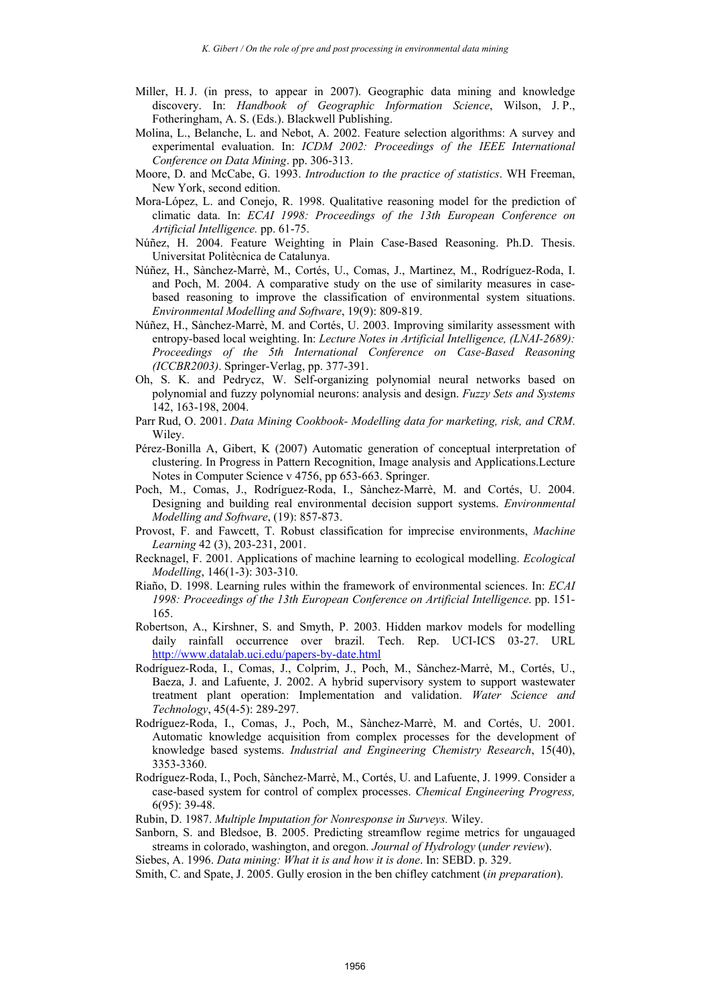- Miller, H. J. (in press, to appear in 2007). Geographic data mining and knowledge discovery. In: *Handbook of Geographic Information Science*, Wilson, J. P., Fotheringham, A. S. (Eds.). Blackwell Publishing.
- Molina, L., Belanche, L. and Nebot, A. 2002. Feature selection algorithms: A survey and experimental evaluation. In: *ICDM 2002: Proceedings of the IEEE International Conference on Data Mining*. pp. 306-313.
- Moore, D. and McCabe, G. 1993. *Introduction to the practice of statistics*. WH Freeman, New York, second edition.
- Mora-López, L. and Conejo, R. 1998. Qualitative reasoning model for the prediction of climatic data. In: *ECAI 1998: Proceedings of the 13th European Conference on Artificial Intelligence.* pp. 61-75.
- Núñez, H. 2004. Feature Weighting in Plain Case-Based Reasoning. Ph.D. Thesis. Universitat Politècnica de Catalunya.
- Núñez, H., Sànchez-Marrè, M., Cortés, U., Comas, J., Martinez, M., Rodríguez-Roda, I. and Poch, M. 2004. A comparative study on the use of similarity measures in casebased reasoning to improve the classification of environmental system situations. *Environmental Modelling and Software*, 19(9): 809-819.
- Núñez, H., Sànchez-Marrè, M. and Cortés, U. 2003. Improving similarity assessment with entropy-based local weighting. In: *Lecture Notes in Artificial Intelligence, (LNAI-2689): Proceedings of the 5th International Conference on Case-Based Reasoning (ICCBR2003)*. Springer-Verlag, pp. 377-391.
- Oh, S. K. and Pedrycz, W. Self-organizing polynomial neural networks based on polynomial and fuzzy polynomial neurons: analysis and design. *Fuzzy Sets and Systems* 142, 163-198, 2004.
- Parr Rud, O. 2001. *Data Mining Cookbook- Modelling data for marketing, risk, and CRM*. Wiley.
- Pérez-Bonilla A, Gibert, K (2007) Automatic generation of conceptual interpretation of clustering. In Progress in Pattern Recognition, Image analysis and Applications.Lecture Notes in Computer Science v 4756, pp 653-663. Springer.
- Poch, M., Comas, J., Rodríguez-Roda, I., Sànchez-Marrè, M. and Cortés, U. 2004. Designing and building real environmental decision support systems. *Environmental Modelling and Software*, (19): 857-873.
- Provost, F. and Fawcett, T. Robust classification for imprecise environments, *Machine Learning* 42 (3), 203-231, 2001.
- Recknagel, F. 2001. Applications of machine learning to ecological modelling. *Ecological Modelling*, 146(1-3): 303-310.
- Riaño, D. 1998. Learning rules within the framework of environmental sciences. In: *ECAI 1998: Proceedings of the 13th European Conference on Artificial Intelligence*. pp. 151- 165.
- Robertson, A., Kirshner, S. and Smyth, P. 2003. Hidden markov models for modelling daily rainfall occurrence over brazil. Tech. Rep. UCI-ICS 03-27. URL http://www.datalab.uci.edu/papers-by-date.html
- Rodríguez-Roda, I., Comas, J., Colprim, J., Poch, M., Sànchez-Marrè, M., Cortés, U., Baeza, J. and Lafuente, J. 2002. A hybrid supervisory system to support wastewater treatment plant operation: Implementation and validation. *Water Science and Technology*, 45(4-5): 289-297.
- Rodríguez-Roda, I., Comas, J., Poch, M., Sànchez-Marrè, M. and Cortés, U. 2001. Automatic knowledge acquisition from complex processes for the development of knowledge based systems. *Industrial and Engineering Chemistry Research*, 15(40), 3353-3360.
- Rodríguez-Roda, I., Poch, Sànchez-Marrè, M., Cortés, U. and Lafuente, J. 1999. Consider a case-based system for control of complex processes. *Chemical Engineering Progress,* 6(95): 39-48.
- Rubin, D. 1987. *Multiple Imputation for Nonresponse in Surveys.* Wiley.
- Sanborn, S. and Bledsoe, B. 2005. Predicting streamflow regime metrics for ungauaged streams in colorado, washington, and oregon. *Journal of Hydrology* (*under review*).
- Siebes, A. 1996. *Data mining: What it is and how it is done*. In: SEBD. p. 329.
- Smith, C. and Spate, J. 2005. Gully erosion in the ben chifley catchment (*in preparation*).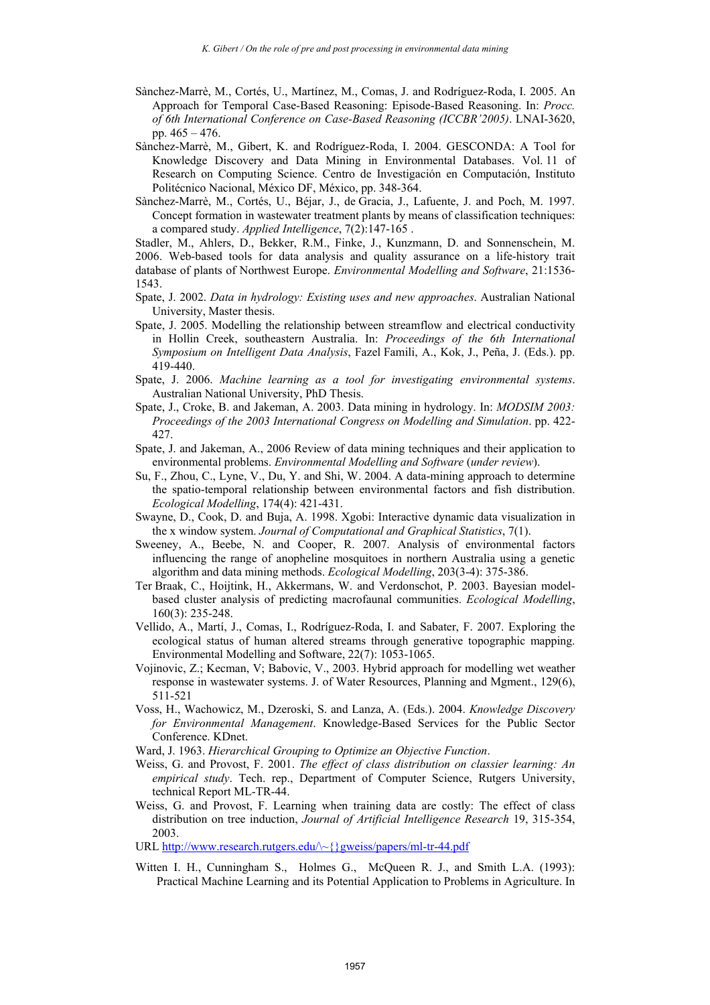- Sànchez-Marrè, M., Cortés, U., Martínez, M., Comas, J. and Rodríguez-Roda, I. 2005. An Approach for Temporal Case-Based Reasoning: Episode-Based Reasoning. In: *Procc. of 6th International Conference on Case-Based Reasoning (ICCBR'2005)*. LNAI-3620, pp.  $465 - 476$ .
- Sànchez-Marrè, M., Gibert, K. and Rodríguez-Roda, I. 2004. GESCONDA: A Tool for Knowledge Discovery and Data Mining in Environmental Databases. Vol. 11 of Research on Computing Science. Centro de Investigación en Computación, Instituto Politécnico Nacional, México DF, México, pp. 348-364.
- Sànchez-Marrè, M., Cortés, U., Béjar, J., de Gracia, J., Lafuente, J. and Poch, M. 1997. Concept formation in wastewater treatment plants by means of classification techniques: a compared study. *Applied Intelligence*, 7(2):147-165 .

Stadler, M., Ahlers, D., Bekker, R.M., Finke, J., Kunzmann, D. and Sonnenschein, M. 2006. Web-based tools for data analysis and quality assurance on a life-history trait database of plants of Northwest Europe. *Environmental Modelling and Software*, 21:1536- 1543.

- Spate, J. 2002. *Data in hydrology: Existing uses and new approaches*. Australian National University, Master thesis.
- Spate, J. 2005. Modelling the relationship between streamflow and electrical conductivity in Hollin Creek, southeastern Australia. In: *Proceedings of the 6th International Symposium on Intelligent Data Analysis*, Fazel Famili, A., Kok, J., Peña, J. (Eds.). pp. 419-440.
- Spate, J. 2006. *Machine learning as a tool for investigating environmental systems*. Australian National University, PhD Thesis.
- Spate, J., Croke, B. and Jakeman, A. 2003. Data mining in hydrology. In: *MODSIM 2003: Proceedings of the 2003 International Congress on Modelling and Simulation*. pp. 422- 427.
- Spate, J. and Jakeman, A., 2006 Review of data mining techniques and their application to environmental problems. *Environmental Modelling and Software* (*under review*).
- Su, F., Zhou, C., Lyne, V., Du, Y. and Shi, W. 2004. A data-mining approach to determine the spatio-temporal relationship between environmental factors and fish distribution. *Ecological Modelling*, 174(4): 421-431.
- Swayne, D., Cook, D. and Buja, A. 1998. Xgobi: Interactive dynamic data visualization in the x window system. *Journal of Computational and Graphical Statistics*, 7(1).
- Sweeney, A., Beebe, N. and Cooper, R. 2007. Analysis of environmental factors influencing the range of anopheline mosquitoes in northern Australia using a genetic algorithm and data mining methods. *Ecological Modelling*, 203(3-4): 375-386.
- Ter Braak, C., Hoijtink, H., Akkermans, W. and Verdonschot, P. 2003. Bayesian modelbased cluster analysis of predicting macrofaunal communities. *Ecological Modelling*, 160(3): 235-248.
- Vellido, A., Martí, J., Comas, I., Rodríguez-Roda, I. and Sabater, F. 2007. Exploring the ecological status of human altered streams through generative topographic mapping. Environmental Modelling and Software, 22(7): 1053-1065.
- Vojinovic, Z.; Kecman, V; Babovic, V., 2003. Hybrid approach for modelling wet weather response in wastewater systems. J. of Water Resources, Planning and Mgment., 129(6), 511-521
- Voss, H., Wachowicz, M., Dzeroski, S. and Lanza, A. (Eds.). 2004. *Knowledge Discovery for Environmental Management*. Knowledge-Based Services for the Public Sector Conference. KDnet.
- Ward, J. 1963. *Hierarchical Grouping to Optimize an Objective Function*.
- Weiss, G. and Provost, F. 2001. *The effect of class distribution on classier learning: An empirical study*. Tech. rep., Department of Computer Science, Rutgers University, technical Report ML-TR-44.
- Weiss, G. and Provost, F. Learning when training data are costly: The effect of class distribution on tree induction, *Journal of Artificial Intelligence Research* 19, 315-354, 2003.

URL http://www.research.rutgers.edu/\~{}gweiss/papers/ml-tr-44.pdf

Witten I. H., Cunningham S., Holmes G., McQueen R. J., and Smith L.A. (1993): Practical Machine Learning and its Potential Application to Problems in Agriculture. In